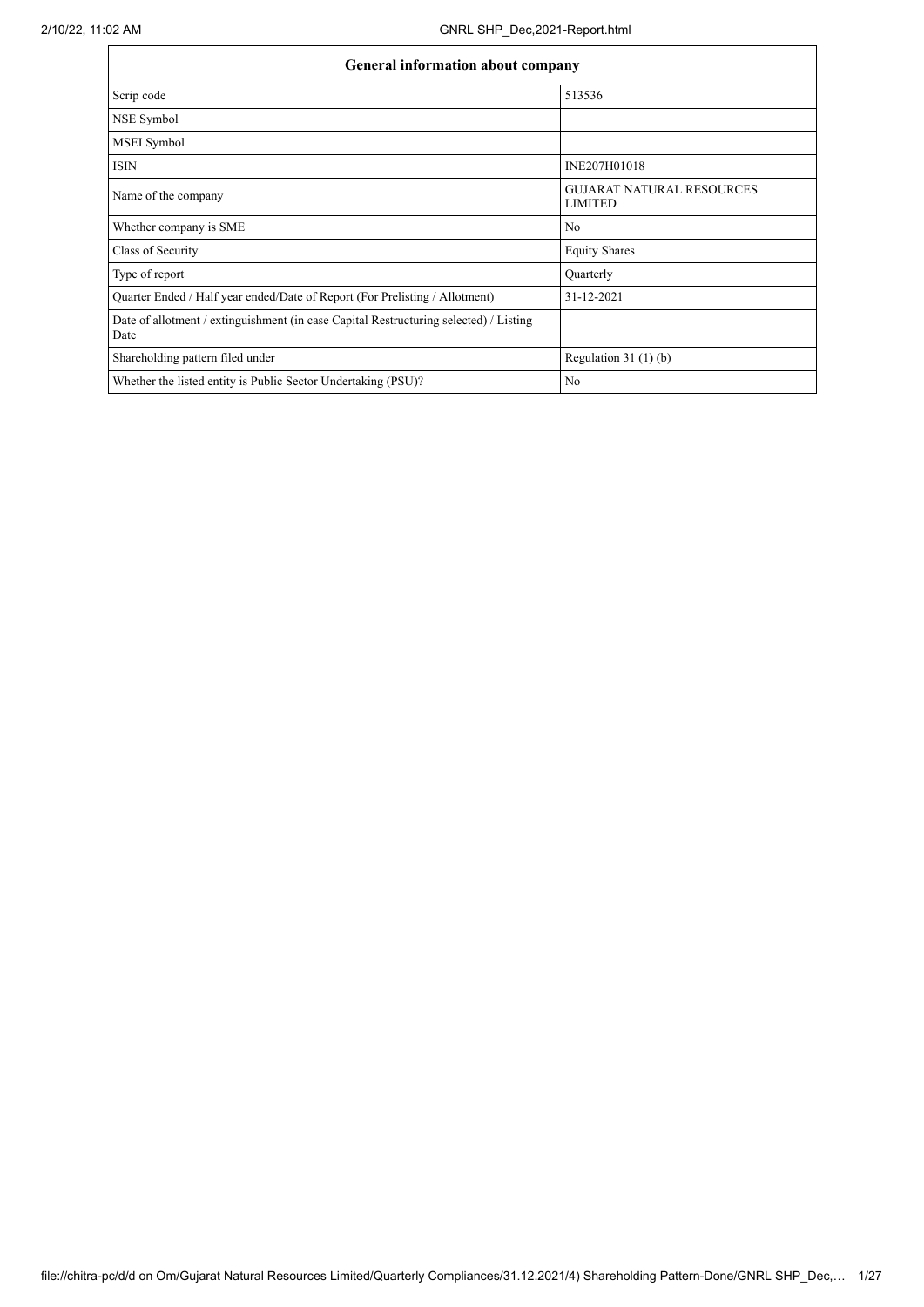| General information about company                                                             |                                                    |  |  |  |  |  |  |  |
|-----------------------------------------------------------------------------------------------|----------------------------------------------------|--|--|--|--|--|--|--|
| Scrip code                                                                                    | 513536                                             |  |  |  |  |  |  |  |
| NSE Symbol                                                                                    |                                                    |  |  |  |  |  |  |  |
| MSEI Symbol                                                                                   |                                                    |  |  |  |  |  |  |  |
| <b>ISIN</b>                                                                                   | INE207H01018                                       |  |  |  |  |  |  |  |
| Name of the company                                                                           | <b>GUJARAT NATURAL RESOURCES</b><br><b>LIMITED</b> |  |  |  |  |  |  |  |
| Whether company is SME                                                                        | N <sub>0</sub>                                     |  |  |  |  |  |  |  |
| Class of Security                                                                             | <b>Equity Shares</b>                               |  |  |  |  |  |  |  |
| Type of report                                                                                | Quarterly                                          |  |  |  |  |  |  |  |
| Quarter Ended / Half year ended/Date of Report (For Prelisting / Allotment)                   | 31-12-2021                                         |  |  |  |  |  |  |  |
| Date of allotment / extinguishment (in case Capital Restructuring selected) / Listing<br>Date |                                                    |  |  |  |  |  |  |  |
| Shareholding pattern filed under                                                              | Regulation $31(1)(b)$                              |  |  |  |  |  |  |  |
| Whether the listed entity is Public Sector Undertaking (PSU)?                                 | N <sub>0</sub>                                     |  |  |  |  |  |  |  |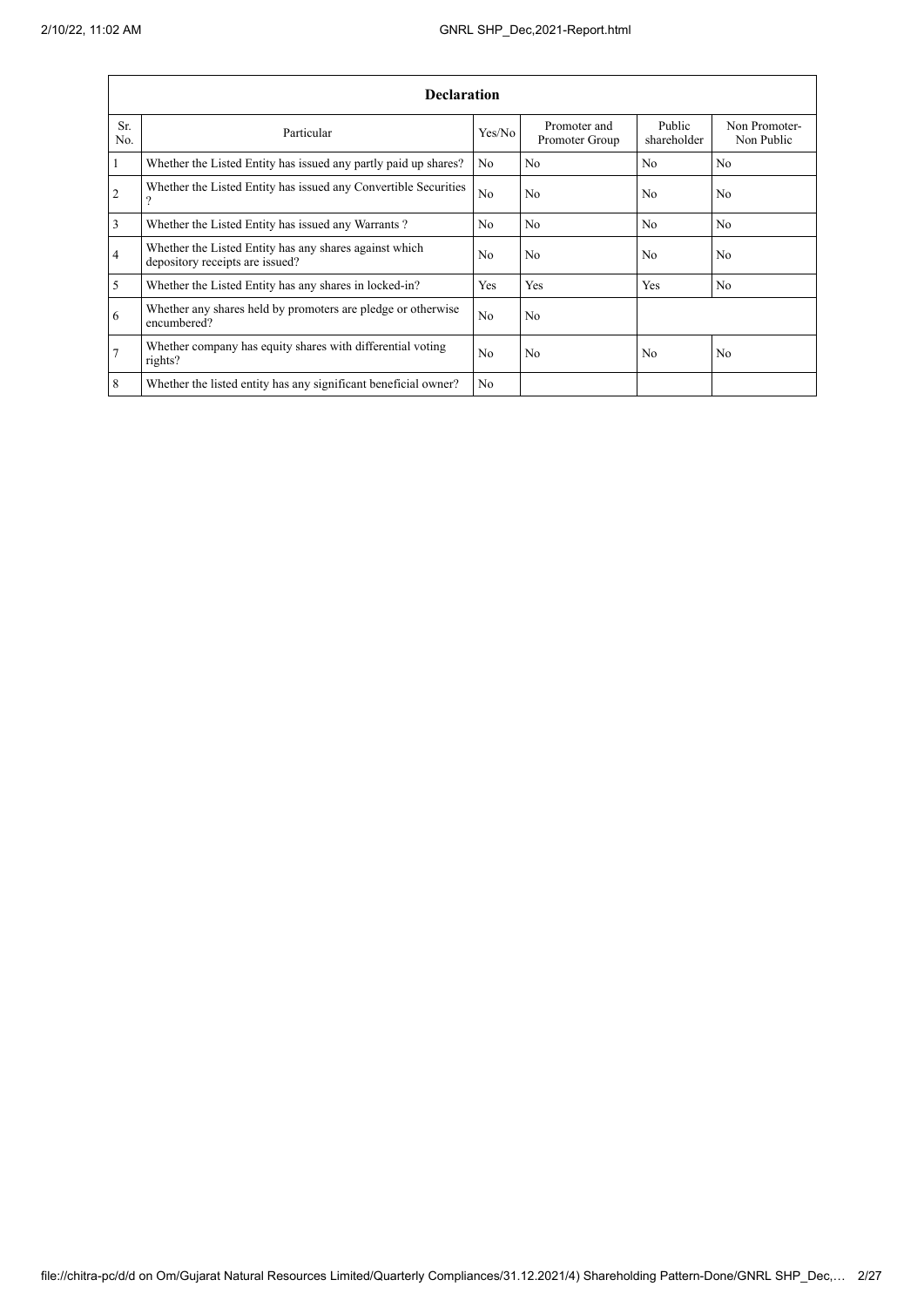|                 | <b>Declaration</b>                                                                        |                |                                |                       |                             |  |  |  |  |  |  |  |
|-----------------|-------------------------------------------------------------------------------------------|----------------|--------------------------------|-----------------------|-----------------------------|--|--|--|--|--|--|--|
| Sr.<br>No.      | Particular                                                                                | Yes/No         | Promoter and<br>Promoter Group | Public<br>shareholder | Non Promoter-<br>Non Public |  |  |  |  |  |  |  |
| $\mathbf{1}$    | Whether the Listed Entity has issued any partly paid up shares?                           | No             | N <sub>0</sub>                 | N <sub>0</sub>        | No                          |  |  |  |  |  |  |  |
| 2               | Whether the Listed Entity has issued any Convertible Securities<br>າ                      | No             | N <sub>0</sub>                 | N <sub>0</sub>        | N <sub>o</sub>              |  |  |  |  |  |  |  |
| 3               | Whether the Listed Entity has issued any Warrants?                                        | N <sub>0</sub> | No                             | N <sub>o</sub>        | N <sub>o</sub>              |  |  |  |  |  |  |  |
| $\overline{4}$  | Whether the Listed Entity has any shares against which<br>depository receipts are issued? | N <sub>o</sub> | N <sub>0</sub>                 | N <sub>o</sub>        | No.                         |  |  |  |  |  |  |  |
| 5               | Whether the Listed Entity has any shares in locked-in?                                    | Yes            | Yes                            | Yes                   | N <sub>0</sub>              |  |  |  |  |  |  |  |
| 6               | Whether any shares held by promoters are pledge or otherwise<br>encumbered?               | N <sub>0</sub> | N <sub>o</sub>                 |                       |                             |  |  |  |  |  |  |  |
| $7\phantom{.0}$ | Whether company has equity shares with differential voting<br>rights?                     | N <sub>0</sub> | N <sub>0</sub>                 | N <sub>o</sub>        | N <sub>o</sub>              |  |  |  |  |  |  |  |
| 8               | Whether the listed entity has any significant beneficial owner?                           | N <sub>0</sub> |                                |                       |                             |  |  |  |  |  |  |  |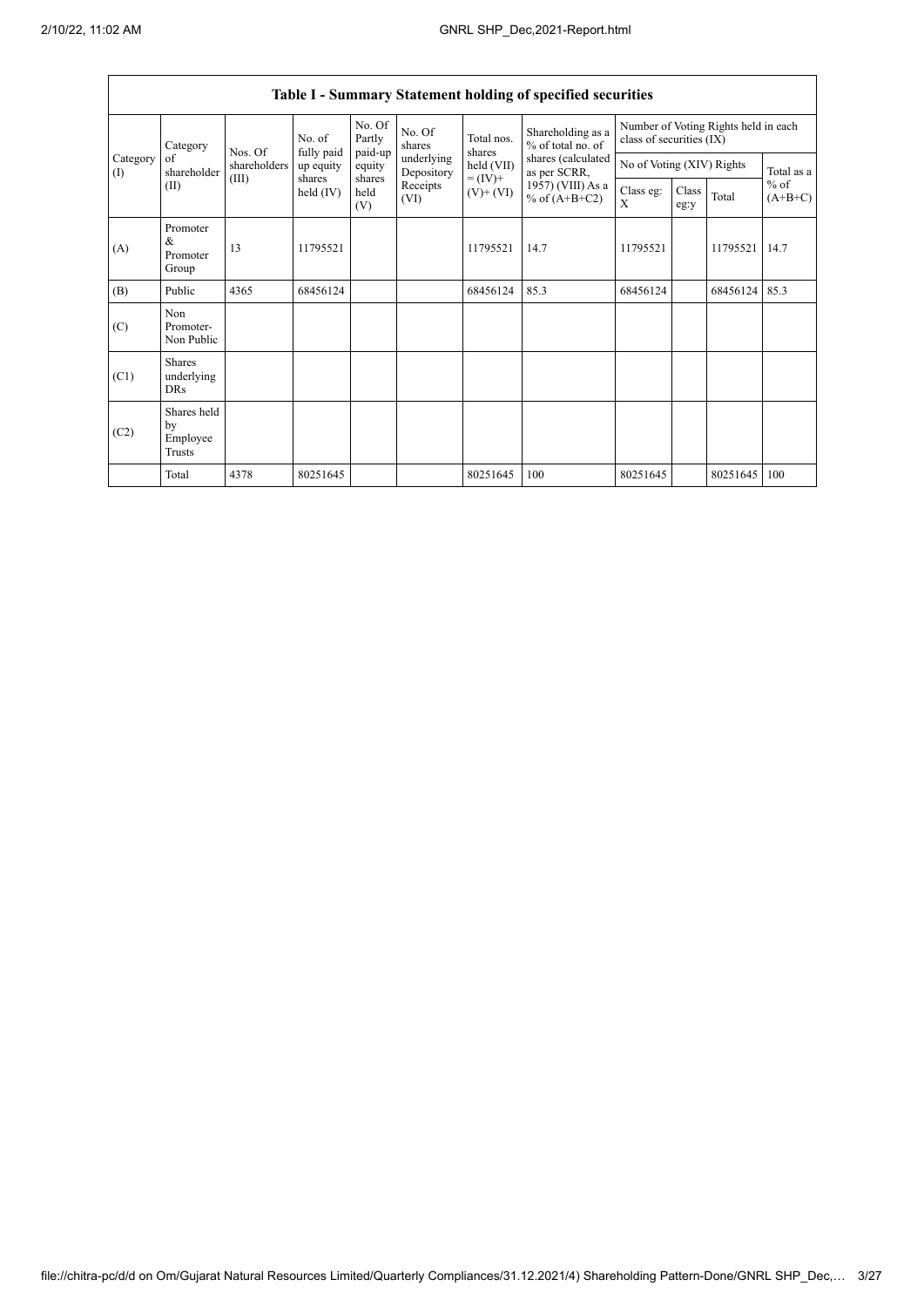$\Gamma$ 

٦

|                   | Table I - Summary Statement holding of specified securities |              |                       |                             |                          |                          |                                        |                                                                  |               |          |                                   |  |  |
|-------------------|-------------------------------------------------------------|--------------|-----------------------|-----------------------------|--------------------------|--------------------------|----------------------------------------|------------------------------------------------------------------|---------------|----------|-----------------------------------|--|--|
|                   | Category<br>of<br>shareholder<br>(II)                       | Nos. Of      | No. of<br>fully paid  | No. Of<br>Partly<br>paid-up | No. Of<br>shares         | Total nos.<br>shares     | Shareholding as a<br>% of total no. of | Number of Voting Rights held in each<br>class of securities (IX) |               |          |                                   |  |  |
| Category<br>$($ I |                                                             | shareholders | up equity             | equity                      | underlying<br>Depository | held (VII)               | shares (calculated<br>as per SCRR,     | No of Voting (XIV) Rights                                        |               |          | Total as a<br>$%$ of<br>$(A+B+C)$ |  |  |
|                   |                                                             | (III)        | shares<br>held $(IV)$ | shares<br>held<br>(V)       | Receipts<br>(VI)         | $= (IV) +$<br>$(V)+(VI)$ | 1957) (VIII) As a<br>% of $(A+B+C2)$   | Class eg:<br>X                                                   | Class<br>eg:y | Total    |                                   |  |  |
| (A)               | Promoter<br>&<br>Promoter<br>Group                          | 13           | 11795521              |                             |                          | 11795521                 | 14.7                                   | 11795521                                                         |               | 11795521 | 14.7                              |  |  |
| (B)               | Public                                                      | 4365         | 68456124              |                             |                          | 68456124                 | 85.3                                   | 68456124                                                         |               | 68456124 | 85.3                              |  |  |
| (C)               | Non<br>Promoter-<br>Non Public                              |              |                       |                             |                          |                          |                                        |                                                                  |               |          |                                   |  |  |
| (C1)              | <b>Shares</b><br>underlying<br><b>DRs</b>                   |              |                       |                             |                          |                          |                                        |                                                                  |               |          |                                   |  |  |
| (C2)              | Shares held<br>by<br>Employee<br>Trusts                     |              |                       |                             |                          |                          |                                        |                                                                  |               |          |                                   |  |  |
|                   | Total                                                       | 4378         | 80251645              |                             |                          | 80251645                 | 100                                    | 80251645                                                         |               | 80251645 | 100                               |  |  |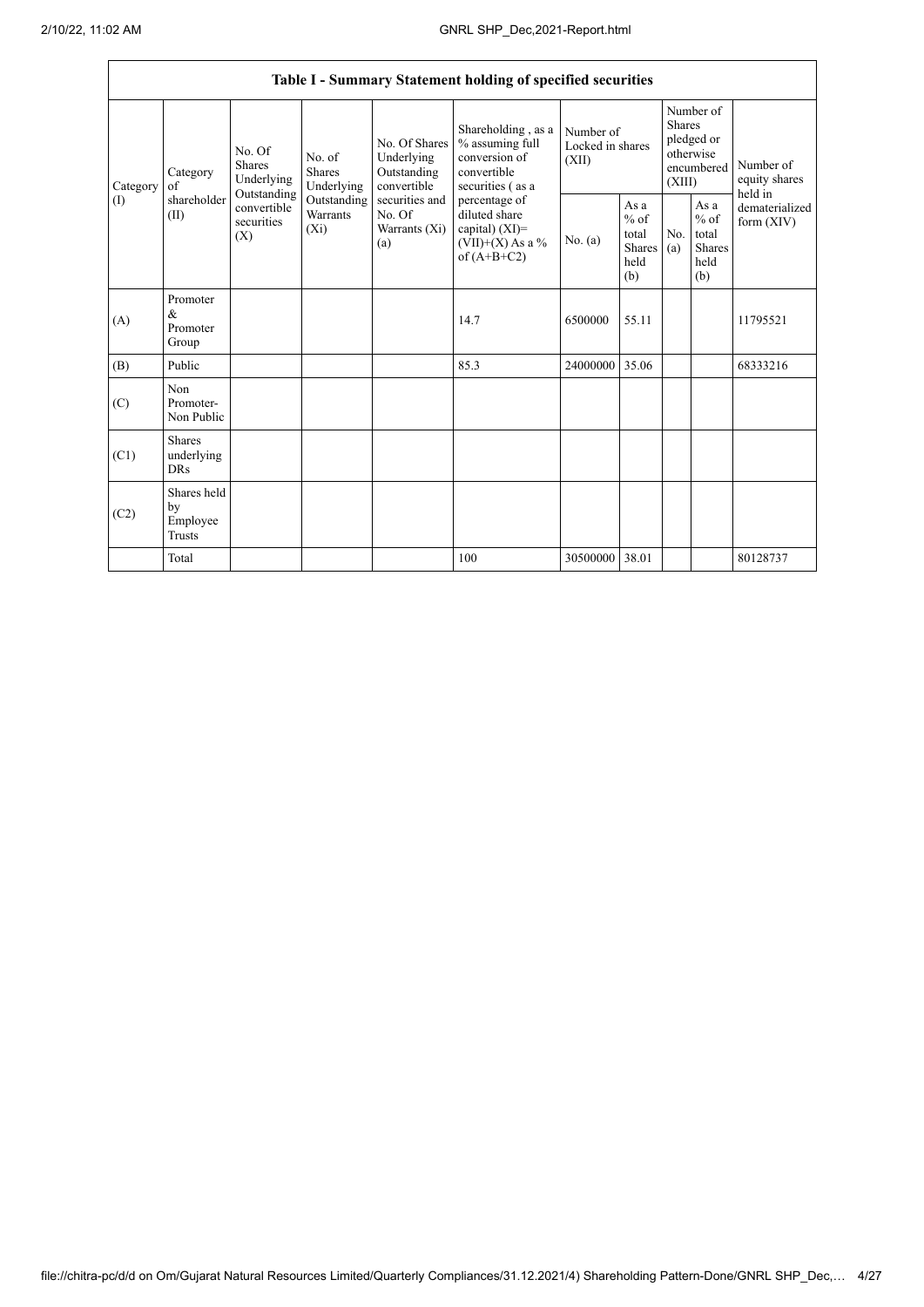|                 |                                           |                                                                                   |                                                                             |                                                                                                               | Table I - Summary Statement holding of specified securities                                                                                                                             |                                        |                                                                               |            |                                                                   |                                |
|-----------------|-------------------------------------------|-----------------------------------------------------------------------------------|-----------------------------------------------------------------------------|---------------------------------------------------------------------------------------------------------------|-----------------------------------------------------------------------------------------------------------------------------------------------------------------------------------------|----------------------------------------|-------------------------------------------------------------------------------|------------|-------------------------------------------------------------------|--------------------------------|
| Category<br>(1) | Category<br>of<br>shareholder<br>(II)     | No. Of<br>Shares<br>Underlying<br>Outstanding<br>convertible<br>securities<br>(X) | No. of<br><b>Shares</b><br>Underlying<br>Outstanding<br>Warrants<br>$(X_i)$ | No. Of Shares<br>Underlying<br>Outstanding<br>convertible<br>securities and<br>No. Of<br>Warrants (Xi)<br>(a) | Shareholding, as a<br>% assuming full<br>conversion of<br>convertible<br>securities (as a<br>percentage of<br>diluted share<br>capital) $(XI)$ =<br>$(VII)+(X)$ As a %<br>of $(A+B+C2)$ | Number of<br>Locked in shares<br>(XII) | Number of<br><b>Shares</b><br>pledged or<br>otherwise<br>encumbered<br>(XIII) |            | Number of<br>equity shares<br>held in                             |                                |
|                 |                                           |                                                                                   |                                                                             |                                                                                                               |                                                                                                                                                                                         | No. (a)                                | As a<br>$%$ of<br>total<br>Shares<br>held<br>(b)                              | No.<br>(a) | As $\mathbf a$<br>$%$ of<br>total<br><b>Shares</b><br>held<br>(b) | dematerialized<br>form $(XIV)$ |
| (A)             | Promoter<br>$\&$<br>Promoter<br>Group     |                                                                                   |                                                                             |                                                                                                               | 14.7                                                                                                                                                                                    | 6500000                                | 55.11                                                                         |            |                                                                   | 11795521                       |
| (B)             | Public                                    |                                                                                   |                                                                             |                                                                                                               | 85.3                                                                                                                                                                                    | 24000000                               | 35.06                                                                         |            |                                                                   | 68333216                       |
| (C)             | Non<br>Promoter-<br>Non Public            |                                                                                   |                                                                             |                                                                                                               |                                                                                                                                                                                         |                                        |                                                                               |            |                                                                   |                                |
| (C1)            | <b>Shares</b><br>underlying<br><b>DRs</b> |                                                                                   |                                                                             |                                                                                                               |                                                                                                                                                                                         |                                        |                                                                               |            |                                                                   |                                |
| (C2)            | Shares held<br>by<br>Employee<br>Trusts   |                                                                                   |                                                                             |                                                                                                               |                                                                                                                                                                                         |                                        |                                                                               |            |                                                                   |                                |
|                 | Total                                     |                                                                                   |                                                                             |                                                                                                               | 100                                                                                                                                                                                     | 30500000                               | 38.01                                                                         |            |                                                                   | 80128737                       |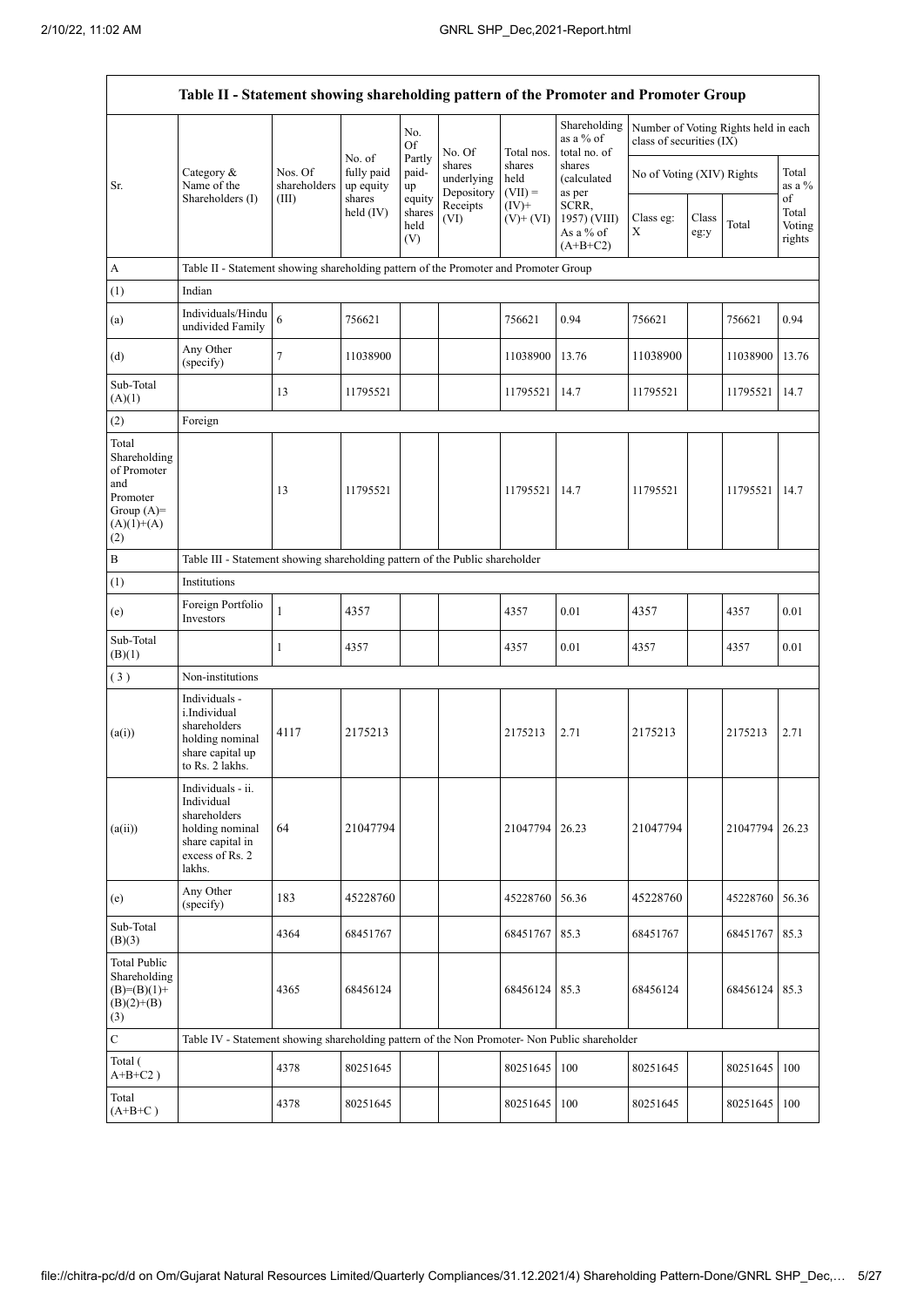|                                                                                                | Table II - Statement showing shareholding pattern of the Promoter and Promoter Group                                |                         |                                   |                                 |                                    |                             |                                                  |                           |               |                                      |                                 |  |  |
|------------------------------------------------------------------------------------------------|---------------------------------------------------------------------------------------------------------------------|-------------------------|-----------------------------------|---------------------------------|------------------------------------|-----------------------------|--------------------------------------------------|---------------------------|---------------|--------------------------------------|---------------------------------|--|--|
|                                                                                                |                                                                                                                     |                         |                                   | No.<br><b>Of</b>                | No. Of                             | Total nos.                  | Shareholding<br>as a % of<br>total no. of        | class of securities (IX)  |               | Number of Voting Rights held in each |                                 |  |  |
| Sr.                                                                                            | Category $\&$<br>Name of the                                                                                        | Nos. Of<br>shareholders | No. of<br>fully paid<br>up equity | Partly<br>paid-<br>up           | shares<br>underlying<br>Depository | shares<br>held<br>$(VII) =$ | shares<br>(calculated<br>as per                  | No of Voting (XIV) Rights |               |                                      | Total<br>as a %                 |  |  |
|                                                                                                | Shareholders (I)                                                                                                    | (III)                   | shares<br>held $(IV)$             | equity<br>shares<br>held<br>(V) | Receipts<br>(VI)                   | $(IV)+$<br>$(V)$ + $(VI)$   | SCRR,<br>1957) (VIII)<br>As a % of<br>$(A+B+C2)$ | Class eg:<br>X            | Class<br>eg:y | Total                                | of<br>Total<br>Voting<br>rights |  |  |
| A                                                                                              | Table II - Statement showing shareholding pattern of the Promoter and Promoter Group                                |                         |                                   |                                 |                                    |                             |                                                  |                           |               |                                      |                                 |  |  |
| (1)                                                                                            | Indian                                                                                                              |                         |                                   |                                 |                                    |                             |                                                  |                           |               |                                      |                                 |  |  |
| (a)                                                                                            | Individuals/Hindu<br>undivided Family                                                                               | 6                       | 756621                            |                                 |                                    | 756621                      | 0.94                                             | 756621                    |               | 756621                               | 0.94                            |  |  |
| (d)                                                                                            | Any Other<br>(specify)                                                                                              | 7                       | 11038900                          |                                 |                                    | 11038900                    | 13.76                                            | 11038900                  |               | 11038900                             | 13.76                           |  |  |
| Sub-Total<br>(A)(1)                                                                            |                                                                                                                     | 13                      | 11795521                          |                                 |                                    | 11795521                    | 14.7                                             | 11795521                  |               | 11795521                             | 14.7                            |  |  |
| (2)                                                                                            | Foreign                                                                                                             |                         |                                   |                                 |                                    |                             |                                                  |                           |               |                                      |                                 |  |  |
| Total<br>Shareholding<br>of Promoter<br>and<br>Promoter<br>Group $(A)=$<br>$(A)(1)+(A)$<br>(2) |                                                                                                                     | 13                      | 11795521                          |                                 |                                    | 11795521                    | 14.7                                             | 11795521                  |               | 11795521                             | 14.7                            |  |  |
| $\, {\bf B}$                                                                                   | Table III - Statement showing shareholding pattern of the Public shareholder                                        |                         |                                   |                                 |                                    |                             |                                                  |                           |               |                                      |                                 |  |  |
| (1)                                                                                            | Institutions                                                                                                        |                         |                                   |                                 |                                    |                             |                                                  |                           |               |                                      |                                 |  |  |
| (e)                                                                                            | Foreign Portfolio<br>Investors                                                                                      | 1                       | 4357                              |                                 |                                    | 4357                        | 0.01                                             | 4357                      |               | 4357                                 | 0.01                            |  |  |
| Sub-Total<br>(B)(1)                                                                            |                                                                                                                     | 1                       | 4357                              |                                 |                                    | 4357                        | 0.01                                             | 4357                      |               | 4357                                 | 0.01                            |  |  |
| (3)                                                                                            | Non-institutions                                                                                                    |                         |                                   |                                 |                                    |                             |                                                  |                           |               |                                      |                                 |  |  |
| (a(i))                                                                                         | Individuals -<br>i.Individual<br>shareholders<br>holding nominal<br>share capital up<br>to Rs. 2 lakhs.             | 4117                    | 2175213                           |                                 |                                    | 2175213                     | 2.71                                             | 2175213                   |               | 2175213                              | 2.71                            |  |  |
| (a(ii))                                                                                        | Individuals - ii.<br>Individual<br>shareholders<br>holding nominal<br>share capital in<br>excess of Rs. 2<br>lakhs. | 64                      | 21047794                          |                                 |                                    | 21047794                    | 26.23                                            | 21047794                  |               | 21047794                             | 26.23                           |  |  |
| (e)                                                                                            | Any Other<br>(specify)                                                                                              | 183                     | 45228760                          |                                 |                                    | 45228760                    | 56.36                                            | 45228760                  |               | 45228760 56.36                       |                                 |  |  |
| Sub-Total<br>(B)(3)                                                                            |                                                                                                                     | 4364                    | 68451767                          |                                 |                                    | 68451767                    | 85.3                                             | 68451767                  |               | 68451767                             | 85.3                            |  |  |
| <b>Total Public</b><br>Shareholding<br>$(B)= (B)(1) +$<br>$(B)(2)+(B)$<br>(3)                  |                                                                                                                     | 4365                    | 68456124                          |                                 |                                    | 68456124                    | 85.3                                             | 68456124                  |               | 68456124                             | 85.3                            |  |  |
| $\mathbf C$                                                                                    | Table IV - Statement showing shareholding pattern of the Non Promoter- Non Public shareholder                       |                         |                                   |                                 |                                    |                             |                                                  |                           |               |                                      |                                 |  |  |
| Total (<br>$A+B+C2$ )                                                                          |                                                                                                                     | 4378                    | 80251645                          |                                 |                                    | 80251645                    | 100                                              | 80251645                  |               | 80251645                             | 100                             |  |  |
| Total<br>$(A+B+C)$                                                                             |                                                                                                                     | 4378                    | 80251645                          |                                 |                                    | 80251645                    | 100                                              | 80251645                  |               | 80251645                             | 100                             |  |  |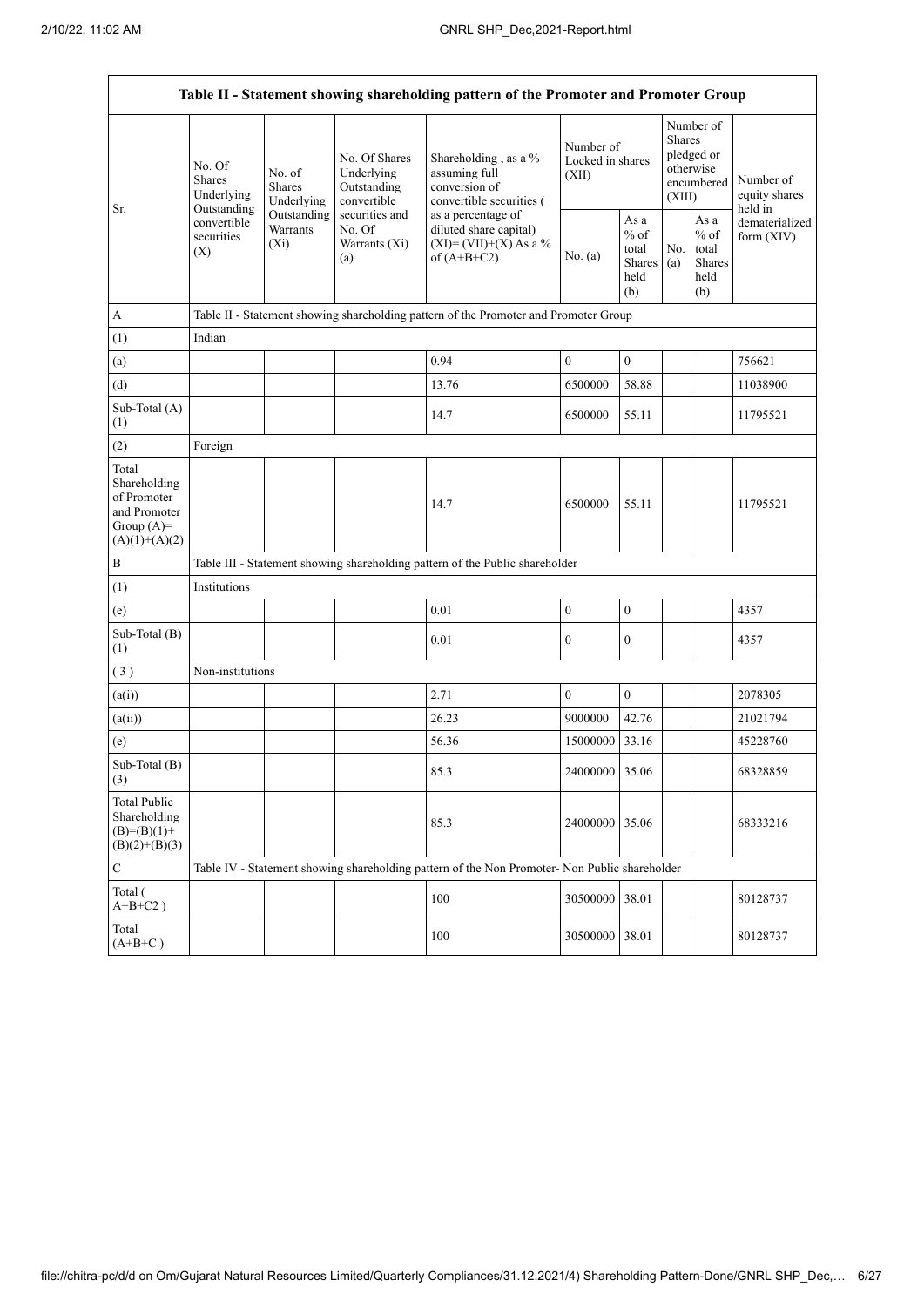| Table II - Statement showing shareholding pattern of the Promoter and Promoter Group    |                                               |                                                                                      |                                                           |                                                                                               |                                        |                                                         |                                                                               |                                                                    |                                       |  |  |  |  |  |
|-----------------------------------------------------------------------------------------|-----------------------------------------------|--------------------------------------------------------------------------------------|-----------------------------------------------------------|-----------------------------------------------------------------------------------------------|----------------------------------------|---------------------------------------------------------|-------------------------------------------------------------------------------|--------------------------------------------------------------------|---------------------------------------|--|--|--|--|--|
| Sr.                                                                                     | No. Of<br>Shares<br>Underlying<br>Outstanding | No. of<br><b>Shares</b><br>Underlying                                                | No. Of Shares<br>Underlying<br>Outstanding<br>convertible | Shareholding, as a %<br>assuming full<br>conversion of<br>convertible securities (            | Number of<br>Locked in shares<br>(XII) |                                                         | Number of<br><b>Shares</b><br>pledged or<br>otherwise<br>encumbered<br>(XIII) |                                                                    | Number of<br>equity shares<br>held in |  |  |  |  |  |
|                                                                                         | convertible<br>securities<br>(X)              | Outstanding<br>Warrants<br>$(X_i)$                                                   | securities and<br>No. Of<br>Warrants (Xi)<br>(a)          | as a percentage of<br>diluted share capital)<br>$(XI) = (VII)+(X) As a %$<br>of $(A+B+C2)$    | No. (a)                                | As a<br>$%$ of<br>total<br><b>Shares</b><br>held<br>(b) | No.<br>(a)                                                                    | As $\mathbf{a}$<br>$%$ of<br>total<br><b>Shares</b><br>held<br>(b) | dematerialized<br>form $(XIV)$        |  |  |  |  |  |
| A                                                                                       |                                               | Table II - Statement showing shareholding pattern of the Promoter and Promoter Group |                                                           |                                                                                               |                                        |                                                         |                                                                               |                                                                    |                                       |  |  |  |  |  |
| (1)                                                                                     | Indian                                        |                                                                                      |                                                           |                                                                                               |                                        |                                                         |                                                                               |                                                                    |                                       |  |  |  |  |  |
| (a)                                                                                     |                                               |                                                                                      |                                                           | 0.94                                                                                          | $\boldsymbol{0}$                       | $\boldsymbol{0}$                                        |                                                                               |                                                                    | 756621                                |  |  |  |  |  |
| (d)                                                                                     |                                               |                                                                                      |                                                           | 13.76                                                                                         | 6500000                                | 58.88                                                   |                                                                               |                                                                    | 11038900                              |  |  |  |  |  |
| Sub-Total (A)<br>(1)                                                                    |                                               |                                                                                      |                                                           | 14.7                                                                                          | 6500000                                | 55.11                                                   |                                                                               |                                                                    | 11795521                              |  |  |  |  |  |
| (2)                                                                                     | Foreign                                       |                                                                                      |                                                           |                                                                                               |                                        |                                                         |                                                                               |                                                                    |                                       |  |  |  |  |  |
| Total<br>Shareholding<br>of Promoter<br>and Promoter<br>Group $(A)=$<br>$(A)(1)+(A)(2)$ |                                               |                                                                                      |                                                           | 14.7                                                                                          | 6500000                                | 55.11                                                   |                                                                               |                                                                    | 11795521                              |  |  |  |  |  |
| $\, {\bf B}$                                                                            |                                               |                                                                                      |                                                           | Table III - Statement showing shareholding pattern of the Public shareholder                  |                                        |                                                         |                                                                               |                                                                    |                                       |  |  |  |  |  |
| (1)                                                                                     | Institutions                                  |                                                                                      |                                                           |                                                                                               |                                        |                                                         |                                                                               |                                                                    |                                       |  |  |  |  |  |
| (e)                                                                                     |                                               |                                                                                      |                                                           | 0.01                                                                                          | $\boldsymbol{0}$                       | $\boldsymbol{0}$                                        |                                                                               |                                                                    | 4357                                  |  |  |  |  |  |
| Sub-Total (B)<br>(1)                                                                    |                                               |                                                                                      |                                                           | 0.01                                                                                          | $\boldsymbol{0}$                       | $\boldsymbol{0}$                                        |                                                                               |                                                                    | 4357                                  |  |  |  |  |  |
| (3)                                                                                     | Non-institutions                              |                                                                                      |                                                           |                                                                                               |                                        |                                                         |                                                                               |                                                                    |                                       |  |  |  |  |  |
| (a(i))                                                                                  |                                               |                                                                                      |                                                           | 2.71                                                                                          | $\boldsymbol{0}$                       | $\boldsymbol{0}$                                        |                                                                               |                                                                    | 2078305                               |  |  |  |  |  |
| (a(ii))                                                                                 |                                               |                                                                                      |                                                           | 26.23                                                                                         | 9000000                                | 42.76                                                   |                                                                               |                                                                    | 21021794                              |  |  |  |  |  |
| (e)                                                                                     |                                               |                                                                                      |                                                           | 56.36                                                                                         | 15000000                               | 33.16                                                   |                                                                               |                                                                    | 45228760                              |  |  |  |  |  |
| Sub-Total (B)<br>(3)                                                                    |                                               |                                                                                      |                                                           | 85.3                                                                                          | 24000000 35.06                         |                                                         |                                                                               |                                                                    | 68328859                              |  |  |  |  |  |
| <b>Total Public</b><br>Shareholding<br>$(B)= (B)(1) +$<br>$(B)(2)+(B)(3)$               |                                               |                                                                                      |                                                           | 85.3                                                                                          | 24000000 35.06                         |                                                         |                                                                               |                                                                    | 68333216                              |  |  |  |  |  |
| $\mathsf C$                                                                             |                                               |                                                                                      |                                                           | Table IV - Statement showing shareholding pattern of the Non Promoter- Non Public shareholder |                                        |                                                         |                                                                               |                                                                    |                                       |  |  |  |  |  |
| Total (<br>$A+B+C2$ )                                                                   |                                               |                                                                                      |                                                           | 100                                                                                           | 30500000                               | 38.01                                                   |                                                                               |                                                                    | 80128737                              |  |  |  |  |  |
| Total<br>$(A+B+C)$                                                                      |                                               |                                                                                      |                                                           | 100                                                                                           | 30500000 38.01                         |                                                         |                                                                               |                                                                    | 80128737                              |  |  |  |  |  |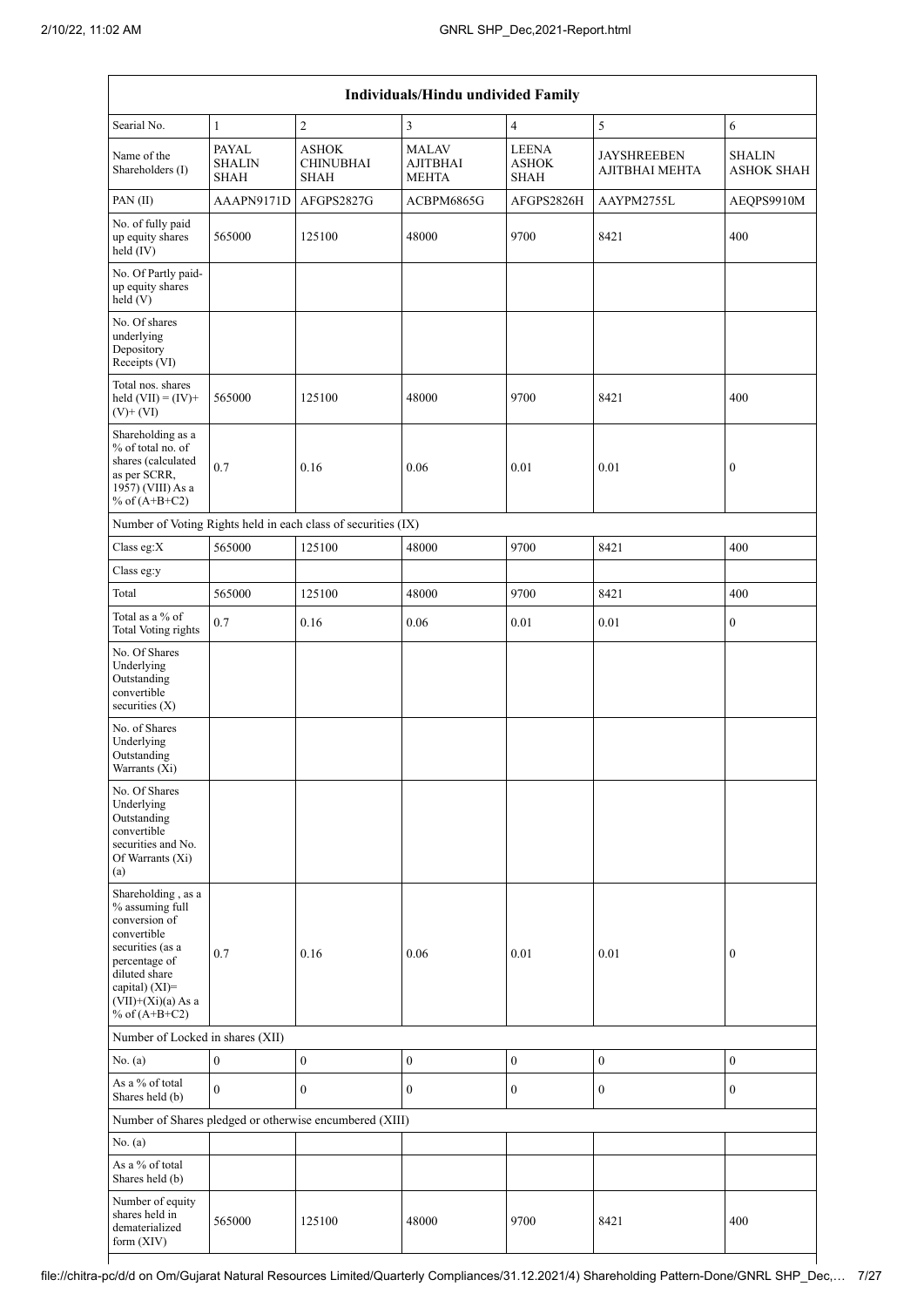| Individuals/Hindu undivided Family                                                                                                                                                       |                                       |                                                               |                                          |                                             |                                      |                                    |  |  |  |  |  |
|------------------------------------------------------------------------------------------------------------------------------------------------------------------------------------------|---------------------------------------|---------------------------------------------------------------|------------------------------------------|---------------------------------------------|--------------------------------------|------------------------------------|--|--|--|--|--|
| Searial No.                                                                                                                                                                              | $\mathbf{1}$                          | $\overline{2}$                                                | 3                                        | $\overline{4}$                              | 5                                    | 6                                  |  |  |  |  |  |
| Name of the<br>Shareholders (I)                                                                                                                                                          | PAYAL<br><b>SHALIN</b><br><b>SHAH</b> | <b>ASHOK</b><br><b>CHINUBHAI</b><br><b>SHAH</b>               | <b>MALAV</b><br>AJITBHAI<br><b>MEHTA</b> | <b>LEENA</b><br><b>ASHOK</b><br><b>SHAH</b> | <b>JAYSHREEBEN</b><br>AJITBHAI MEHTA | <b>SHALIN</b><br><b>ASHOK SHAH</b> |  |  |  |  |  |
| PAN(II)                                                                                                                                                                                  | AAAPN9171D                            | AFGPS2827G                                                    | ACBPM6865G                               | AFGPS2826H                                  | AAYPM2755L                           | AEQPS9910M                         |  |  |  |  |  |
| No. of fully paid<br>up equity shares<br>held (IV)                                                                                                                                       | 565000                                | 125100                                                        | 48000                                    | 9700                                        | 8421                                 | 400                                |  |  |  |  |  |
| No. Of Partly paid-<br>up equity shares<br>held (V)                                                                                                                                      |                                       |                                                               |                                          |                                             |                                      |                                    |  |  |  |  |  |
| No. Of shares<br>underlying<br>Depository<br>Receipts (VI)                                                                                                                               |                                       |                                                               |                                          |                                             |                                      |                                    |  |  |  |  |  |
| Total nos. shares<br>held $(VII) = (IV) +$<br>$(V)$ + $(VI)$                                                                                                                             | 565000                                | 125100                                                        | 48000                                    | 9700                                        | 8421                                 | 400                                |  |  |  |  |  |
| Shareholding as a<br>% of total no. of<br>shares (calculated<br>as per SCRR,<br>1957) (VIII) As a<br>% of $(A+B+C2)$                                                                     | 0.7                                   | 0.16                                                          | 0.06                                     | 0.01                                        | 0.01                                 | $\boldsymbol{0}$                   |  |  |  |  |  |
|                                                                                                                                                                                          |                                       | Number of Voting Rights held in each class of securities (IX) |                                          |                                             |                                      |                                    |  |  |  |  |  |
| Class eg:X                                                                                                                                                                               | 565000                                | 125100                                                        | 48000                                    | 9700                                        | 8421                                 | 400                                |  |  |  |  |  |
| Class eg:y                                                                                                                                                                               |                                       |                                                               |                                          |                                             |                                      |                                    |  |  |  |  |  |
| Total                                                                                                                                                                                    | 565000                                | 125100                                                        | 48000                                    | 9700                                        | 8421                                 | 400                                |  |  |  |  |  |
| Total as a % of<br><b>Total Voting rights</b>                                                                                                                                            | 0.7                                   | 0.16                                                          | 0.06                                     | 0.01                                        | 0.01                                 | $\boldsymbol{0}$                   |  |  |  |  |  |
| No. Of Shares<br>Underlying<br>Outstanding<br>convertible<br>securities $(X)$                                                                                                            |                                       |                                                               |                                          |                                             |                                      |                                    |  |  |  |  |  |
| No. of Shares<br>Underlying<br>Outstanding<br>Warrants (Xi)                                                                                                                              |                                       |                                                               |                                          |                                             |                                      |                                    |  |  |  |  |  |
| No. Of Shares<br>Underlying<br>Outstanding<br>convertible<br>securities and No.<br>Of Warrants (Xi)<br>(a)                                                                               |                                       |                                                               |                                          |                                             |                                      |                                    |  |  |  |  |  |
| Shareholding, as a<br>% assuming full<br>conversion of<br>convertible<br>securities (as a<br>percentage of<br>diluted share<br>capital) (XI)=<br>$(VII)+(Xi)(a)$ As a<br>% of $(A+B+C2)$ | 0.7                                   | 0.16                                                          | 0.06                                     | 0.01                                        | 0.01                                 | $\boldsymbol{0}$                   |  |  |  |  |  |
| Number of Locked in shares (XII)                                                                                                                                                         |                                       |                                                               |                                          |                                             |                                      |                                    |  |  |  |  |  |
| No. (a)                                                                                                                                                                                  | $\mathbf{0}$                          | $\boldsymbol{0}$                                              | $\boldsymbol{0}$                         | $\boldsymbol{0}$                            | $\boldsymbol{0}$                     | $\boldsymbol{0}$                   |  |  |  |  |  |
| As a % of total<br>Shares held (b)                                                                                                                                                       | $\mathbf{0}$                          | $\boldsymbol{0}$                                              | 0                                        | $\boldsymbol{0}$                            | $\boldsymbol{0}$                     | $\boldsymbol{0}$                   |  |  |  |  |  |
|                                                                                                                                                                                          |                                       | Number of Shares pledged or otherwise encumbered (XIII)       |                                          |                                             |                                      |                                    |  |  |  |  |  |
| No. (a)                                                                                                                                                                                  |                                       |                                                               |                                          |                                             |                                      |                                    |  |  |  |  |  |
| As a % of total<br>Shares held (b)                                                                                                                                                       |                                       |                                                               |                                          |                                             |                                      |                                    |  |  |  |  |  |
| Number of equity<br>shares held in<br>dematerialized<br>form (XIV)                                                                                                                       | 565000                                | 125100                                                        | 48000                                    | 9700                                        | 8421                                 | 400                                |  |  |  |  |  |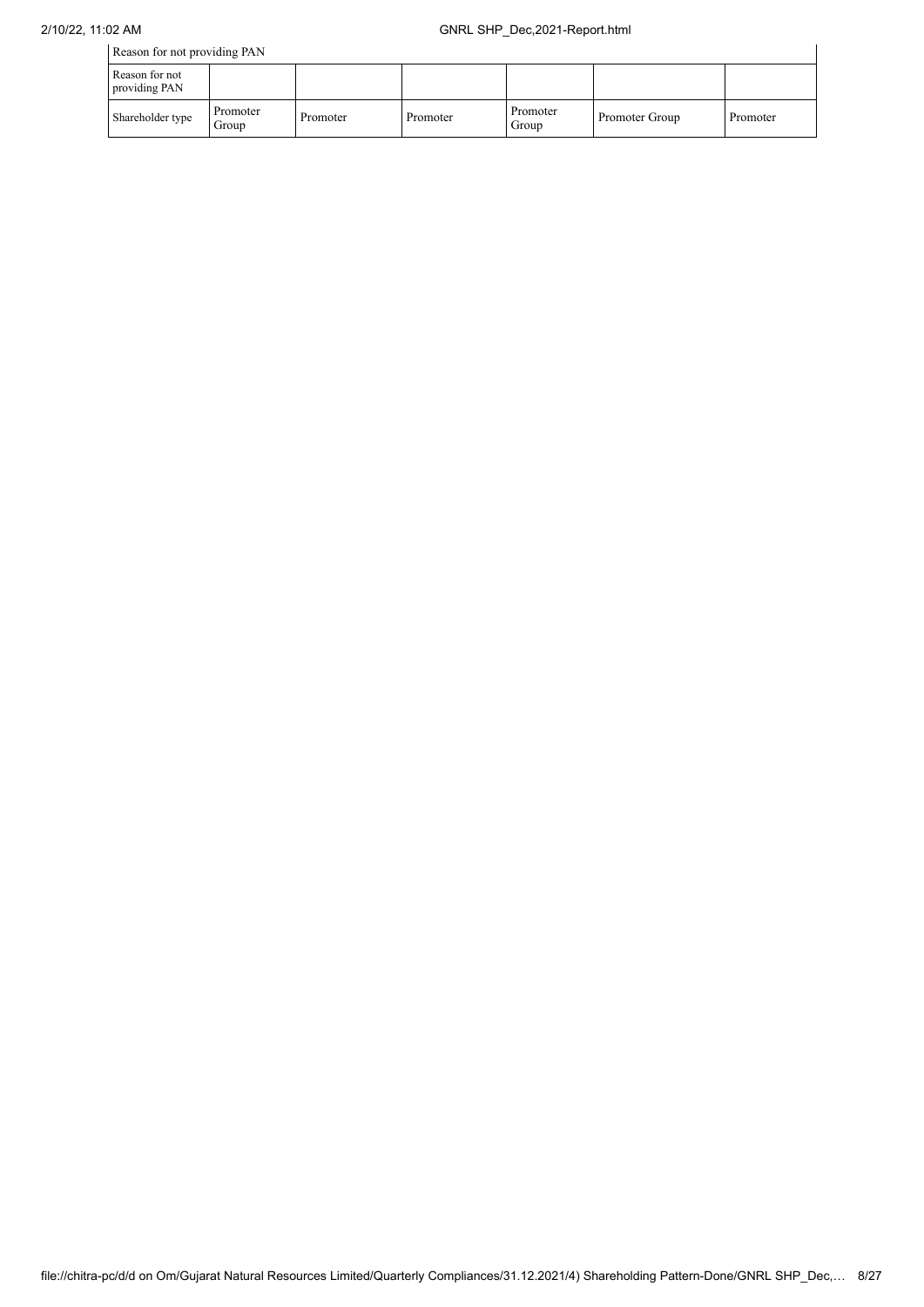| Reason for not providing PAN    |                   |          |          |                   |                |          |  |  |  |
|---------------------------------|-------------------|----------|----------|-------------------|----------------|----------|--|--|--|
| Reason for not<br>providing PAN |                   |          |          |                   |                |          |  |  |  |
| Shareholder type                | Promoter<br>Group | Promoter | Promoter | Promoter<br>Group | Promoter Group | Promoter |  |  |  |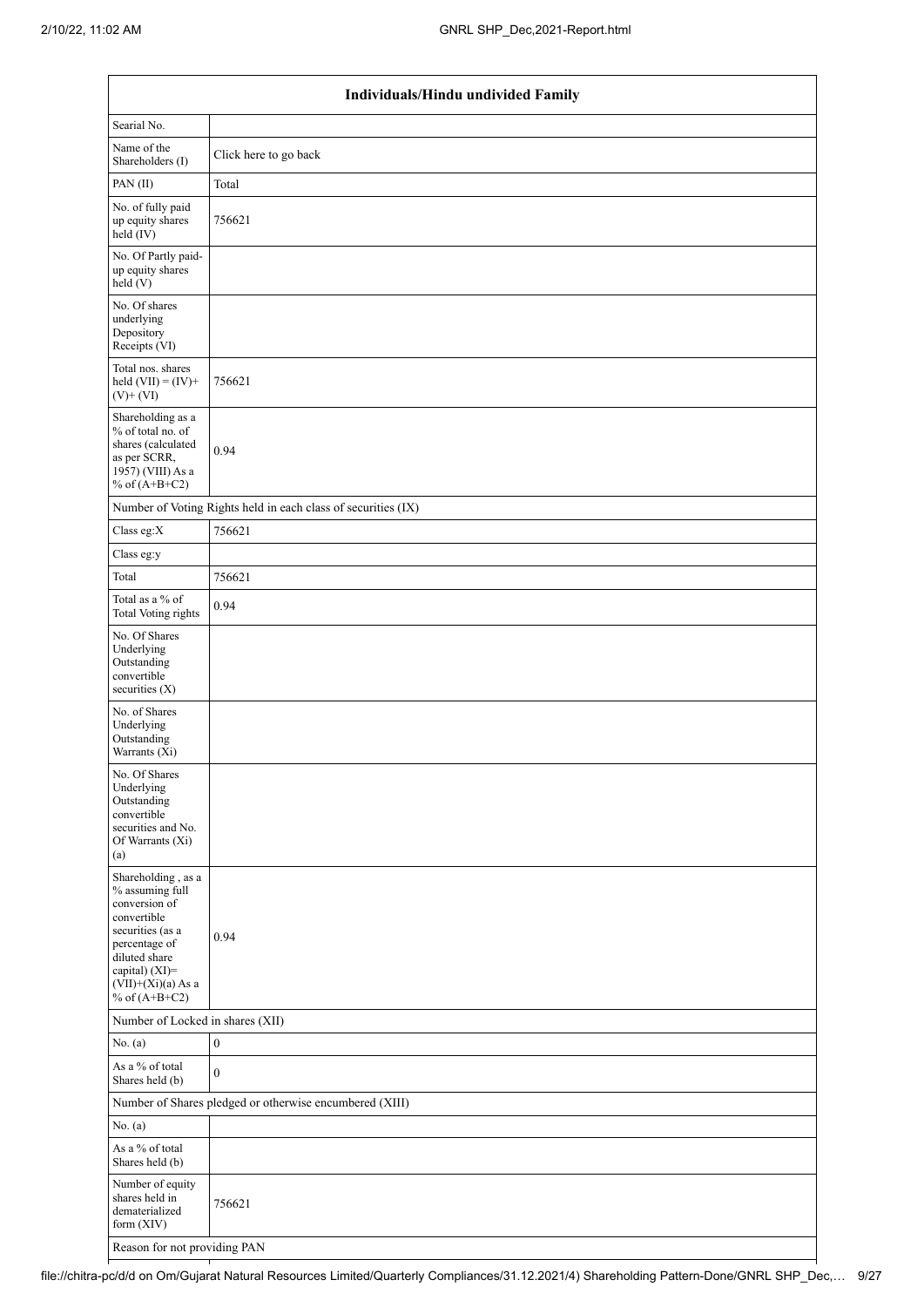| Individuals/Hindu undivided Family                                                                                                                                                          |                                                               |  |  |  |  |  |  |  |
|---------------------------------------------------------------------------------------------------------------------------------------------------------------------------------------------|---------------------------------------------------------------|--|--|--|--|--|--|--|
| Searial No.                                                                                                                                                                                 |                                                               |  |  |  |  |  |  |  |
| Name of the<br>Shareholders (I)                                                                                                                                                             | Click here to go back                                         |  |  |  |  |  |  |  |
| PAN(II)                                                                                                                                                                                     | Total                                                         |  |  |  |  |  |  |  |
| No. of fully paid<br>up equity shares<br>held (IV)                                                                                                                                          | 756621                                                        |  |  |  |  |  |  |  |
| No. Of Partly paid-<br>up equity shares<br>held(V)                                                                                                                                          |                                                               |  |  |  |  |  |  |  |
| No. Of shares<br>underlying<br>Depository<br>Receipts (VI)                                                                                                                                  |                                                               |  |  |  |  |  |  |  |
| Total nos. shares<br>held $(VII) = (IV) +$<br>$(V)+(VI)$                                                                                                                                    | 756621                                                        |  |  |  |  |  |  |  |
| Shareholding as a<br>% of total no. of<br>shares (calculated<br>as per SCRR,<br>1957) (VIII) As a<br>% of $(A+B+C2)$                                                                        | 0.94                                                          |  |  |  |  |  |  |  |
|                                                                                                                                                                                             | Number of Voting Rights held in each class of securities (IX) |  |  |  |  |  |  |  |
| Class eg:X                                                                                                                                                                                  | 756621                                                        |  |  |  |  |  |  |  |
| Class eg:y                                                                                                                                                                                  |                                                               |  |  |  |  |  |  |  |
| Total                                                                                                                                                                                       | 756621                                                        |  |  |  |  |  |  |  |
| Total as a % of<br>Total Voting rights                                                                                                                                                      | 0.94                                                          |  |  |  |  |  |  |  |
| No. Of Shares<br>Underlying<br>Outstanding<br>convertible<br>securities (X)                                                                                                                 |                                                               |  |  |  |  |  |  |  |
| No. of Shares<br>Underlying<br>Outstanding<br>Warrants (Xi)                                                                                                                                 |                                                               |  |  |  |  |  |  |  |
| No. Of Shares<br>Underlying<br>Outstanding<br>convertible<br>securities and No.<br>Of Warrants (Xi)<br>(a)                                                                                  |                                                               |  |  |  |  |  |  |  |
| Shareholding, as a<br>$\%$ assuming full<br>conversion of<br>convertible<br>securities (as a<br>percentage of<br>diluted share<br>capital) (XI)=<br>$(VII)+(Xi)(a)$ As a<br>% of $(A+B+C2)$ | 0.94                                                          |  |  |  |  |  |  |  |
| Number of Locked in shares (XII)                                                                                                                                                            |                                                               |  |  |  |  |  |  |  |
| No. (a)                                                                                                                                                                                     | $\boldsymbol{0}$                                              |  |  |  |  |  |  |  |
| As a % of total<br>Shares held (b)                                                                                                                                                          | $\overline{0}$                                                |  |  |  |  |  |  |  |
|                                                                                                                                                                                             | Number of Shares pledged or otherwise encumbered (XIII)       |  |  |  |  |  |  |  |
| No. (a)                                                                                                                                                                                     |                                                               |  |  |  |  |  |  |  |
| As a % of total<br>Shares held (b)                                                                                                                                                          |                                                               |  |  |  |  |  |  |  |
| Number of equity<br>shares held in<br>dematerialized<br>form (XIV)                                                                                                                          | 756621                                                        |  |  |  |  |  |  |  |
| Reason for not providing PAN                                                                                                                                                                |                                                               |  |  |  |  |  |  |  |

file://chitra-pc/d/d on Om/Gujarat Natural Resources Limited/Quarterly Compliances/31.12.2021/4) Shareholding Pattern-Done/GNRL SHP\_Dec,… 9/27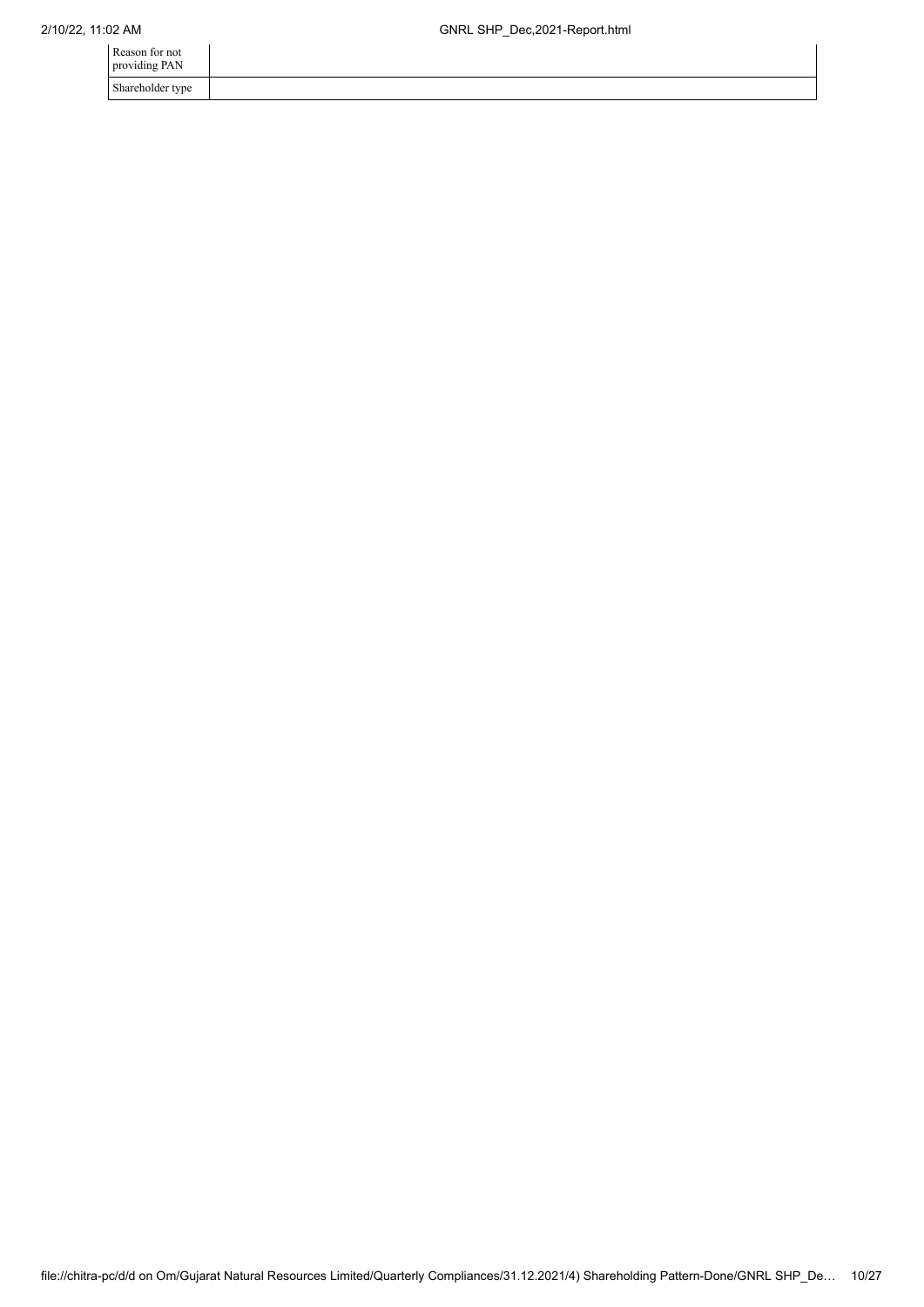| Reason for not<br>providing PAN |  |
|---------------------------------|--|
| Shareholder type                |  |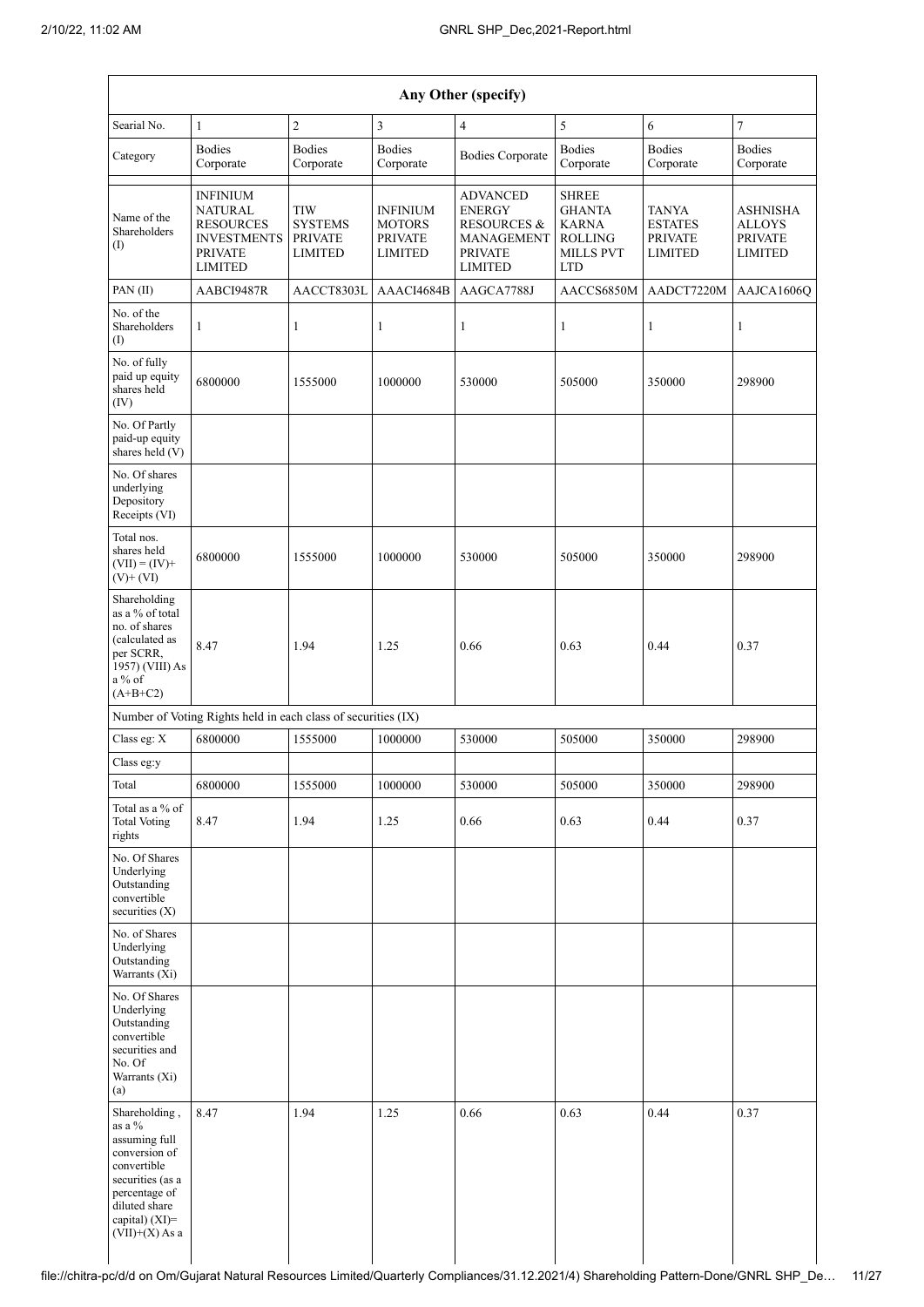$\overline{\phantom{a}}$ 

| Any Other (specify)                                                                                                                                                     |                                                                                                                 |                                                                  |                                                                      |                                                                                                              |                                                                                                   |                                                                    |                                                                      |  |  |  |  |  |
|-------------------------------------------------------------------------------------------------------------------------------------------------------------------------|-----------------------------------------------------------------------------------------------------------------|------------------------------------------------------------------|----------------------------------------------------------------------|--------------------------------------------------------------------------------------------------------------|---------------------------------------------------------------------------------------------------|--------------------------------------------------------------------|----------------------------------------------------------------------|--|--|--|--|--|
| Searial No.                                                                                                                                                             | $\mathbf{1}$                                                                                                    | $\overline{c}$                                                   | $\overline{3}$                                                       | $\overline{4}$                                                                                               | 5                                                                                                 | 6                                                                  | $\overline{7}$                                                       |  |  |  |  |  |
| Category                                                                                                                                                                | <b>Bodies</b><br>Corporate                                                                                      | <b>Bodies</b><br>Corporate                                       | <b>Bodies</b><br>Corporate                                           | <b>Bodies Corporate</b>                                                                                      | <b>Bodies</b><br>Corporate                                                                        | <b>Bodies</b><br>Corporate                                         | <b>Bodies</b><br>Corporate                                           |  |  |  |  |  |
| Name of the<br>Shareholders<br>(1)                                                                                                                                      | <b>INFINIUM</b><br><b>NATURAL</b><br><b>RESOURCES</b><br><b>INVESTMENTS</b><br><b>PRIVATE</b><br><b>LIMITED</b> | <b>TIW</b><br><b>SYSTEMS</b><br><b>PRIVATE</b><br><b>LIMITED</b> | <b>INFINIUM</b><br><b>MOTORS</b><br><b>PRIVATE</b><br><b>LIMITED</b> | <b>ADVANCED</b><br><b>ENERGY</b><br><b>RESOURCES &amp;</b><br>MANAGEMENT<br><b>PRIVATE</b><br><b>LIMITED</b> | <b>SHREE</b><br><b>GHANTA</b><br><b>KARNA</b><br><b>ROLLING</b><br><b>MILLS PVT</b><br><b>LTD</b> | <b>TANYA</b><br><b>ESTATES</b><br><b>PRIVATE</b><br><b>LIMITED</b> | <b>ASHNISHA</b><br><b>ALLOYS</b><br><b>PRIVATE</b><br><b>LIMITED</b> |  |  |  |  |  |
| PAN(II)                                                                                                                                                                 | AABCI9487R                                                                                                      | AACCT8303L                                                       | AAACI4684B                                                           | AAGCA7788J                                                                                                   | AACCS6850M                                                                                        | AADCT7220M                                                         | AAJCA1606Q                                                           |  |  |  |  |  |
| No. of the<br>Shareholders<br>$\rm(D)$                                                                                                                                  | $\mathbf{1}$                                                                                                    | 1                                                                | $\mathbf{1}$                                                         | 1                                                                                                            | 1                                                                                                 | 1                                                                  | 1                                                                    |  |  |  |  |  |
| No. of fully<br>paid up equity<br>shares held<br>(IV)                                                                                                                   | 6800000                                                                                                         | 1555000                                                          | 1000000                                                              | 530000                                                                                                       | 505000                                                                                            | 350000                                                             | 298900                                                               |  |  |  |  |  |
| No. Of Partly<br>paid-up equity<br>shares held $(V)$                                                                                                                    |                                                                                                                 |                                                                  |                                                                      |                                                                                                              |                                                                                                   |                                                                    |                                                                      |  |  |  |  |  |
| No. Of shares<br>underlying<br>Depository<br>Receipts (VI)                                                                                                              |                                                                                                                 |                                                                  |                                                                      |                                                                                                              |                                                                                                   |                                                                    |                                                                      |  |  |  |  |  |
| Total nos.<br>shares held<br>$(VII) = (IV) +$<br>$(V)$ + $(VI)$                                                                                                         | 6800000                                                                                                         | 1555000                                                          | 1000000                                                              | 530000                                                                                                       | 505000                                                                                            | 350000                                                             | 298900                                                               |  |  |  |  |  |
| Shareholding<br>as a % of total<br>no. of shares<br>(calculated as<br>per SCRR,<br>1957) (VIII) As<br>a % of<br>$(A+B+C2)$                                              | 8.47                                                                                                            | 1.94                                                             | 1.25                                                                 | 0.66                                                                                                         | 0.63                                                                                              | 0.44                                                               | 0.37                                                                 |  |  |  |  |  |
|                                                                                                                                                                         | Number of Voting Rights held in each class of securities (IX)                                                   |                                                                  |                                                                      |                                                                                                              |                                                                                                   |                                                                    |                                                                      |  |  |  |  |  |
| Class eg: X                                                                                                                                                             | 6800000                                                                                                         | 1555000                                                          | 1000000                                                              | 530000                                                                                                       | 505000                                                                                            | 350000                                                             | 298900                                                               |  |  |  |  |  |
| Class eg:y                                                                                                                                                              |                                                                                                                 |                                                                  |                                                                      |                                                                                                              |                                                                                                   |                                                                    |                                                                      |  |  |  |  |  |
| Total                                                                                                                                                                   | 6800000                                                                                                         | 1555000                                                          | 1000000                                                              | 530000                                                                                                       | 505000                                                                                            | 350000                                                             | 298900                                                               |  |  |  |  |  |
| Total as a % of<br><b>Total Voting</b><br>rights                                                                                                                        | 8.47                                                                                                            | 1.94                                                             | 1.25                                                                 | 0.66                                                                                                         | 0.63                                                                                              | 0.44                                                               | 0.37                                                                 |  |  |  |  |  |
| No. Of Shares<br>Underlying<br>Outstanding<br>convertible<br>securities $(X)$                                                                                           |                                                                                                                 |                                                                  |                                                                      |                                                                                                              |                                                                                                   |                                                                    |                                                                      |  |  |  |  |  |
| No. of Shares<br>Underlying<br>Outstanding<br>Warrants (Xi)                                                                                                             |                                                                                                                 |                                                                  |                                                                      |                                                                                                              |                                                                                                   |                                                                    |                                                                      |  |  |  |  |  |
| No. Of Shares<br>Underlying<br>Outstanding<br>convertible<br>securities and<br>No. Of<br>Warrants (Xi)<br>(a)                                                           |                                                                                                                 |                                                                  |                                                                      |                                                                                                              |                                                                                                   |                                                                    |                                                                      |  |  |  |  |  |
| Shareholding,<br>as a $\%$<br>assuming full<br>conversion of<br>convertible<br>securities (as a<br>percentage of<br>diluted share<br>capital) (XI)=<br>$(VII)+(X)$ As a | 8.47                                                                                                            | 1.94                                                             | 1.25                                                                 | 0.66                                                                                                         | 0.63                                                                                              | 0.44                                                               | 0.37                                                                 |  |  |  |  |  |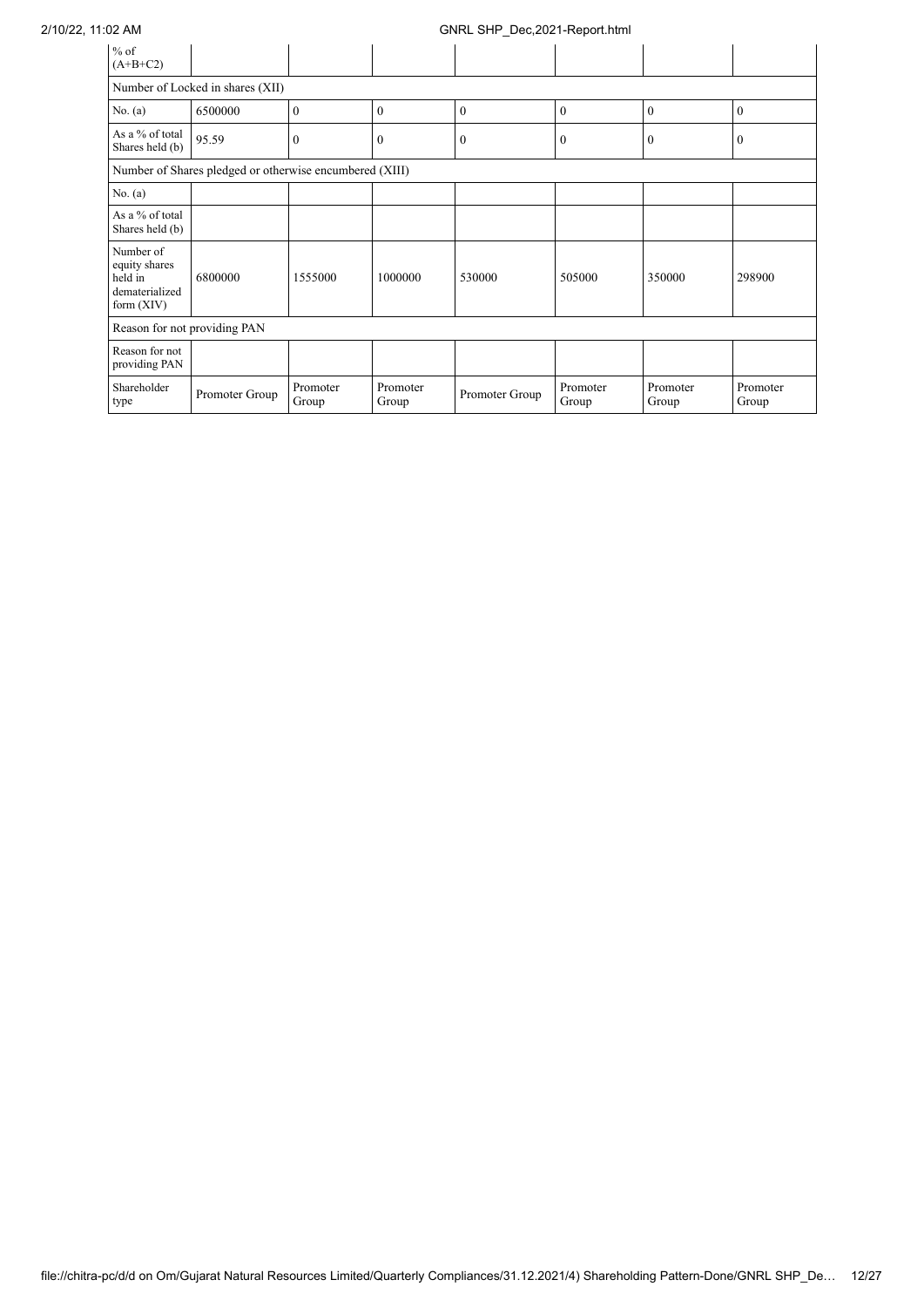| $%$ of<br>$(A+B+C2)$                                                    |                                  |                   |                   |                |                   |                   |                   |  |  |  |  |
|-------------------------------------------------------------------------|----------------------------------|-------------------|-------------------|----------------|-------------------|-------------------|-------------------|--|--|--|--|
|                                                                         | Number of Locked in shares (XII) |                   |                   |                |                   |                   |                   |  |  |  |  |
| No. $(a)$                                                               | 6500000                          | $\Omega$          | $\Omega$          | $\Omega$       | $\theta$          | $\theta$          | $\theta$          |  |  |  |  |
| As a % of total<br>Shares held (b)                                      | 95.59                            | $\mathbf{0}$      | $\mathbf{0}$      | $\mathbf{0}$   | $\mathbf{0}$      | $\boldsymbol{0}$  | $\mathbf{0}$      |  |  |  |  |
| Number of Shares pledged or otherwise encumbered (XIII)                 |                                  |                   |                   |                |                   |                   |                   |  |  |  |  |
| No. (a)                                                                 |                                  |                   |                   |                |                   |                   |                   |  |  |  |  |
| As a % of total<br>Shares held (b)                                      |                                  |                   |                   |                |                   |                   |                   |  |  |  |  |
| Number of<br>equity shares<br>held in<br>dematerialized<br>form $(XIV)$ | 6800000                          | 1555000           | 1000000           | 530000         | 505000            | 350000            | 298900            |  |  |  |  |
| Reason for not providing PAN                                            |                                  |                   |                   |                |                   |                   |                   |  |  |  |  |
| Reason for not<br>providing PAN                                         |                                  |                   |                   |                |                   |                   |                   |  |  |  |  |
| Shareholder<br>type                                                     | Promoter Group                   | Promoter<br>Group | Promoter<br>Group | Promoter Group | Promoter<br>Group | Promoter<br>Group | Promoter<br>Group |  |  |  |  |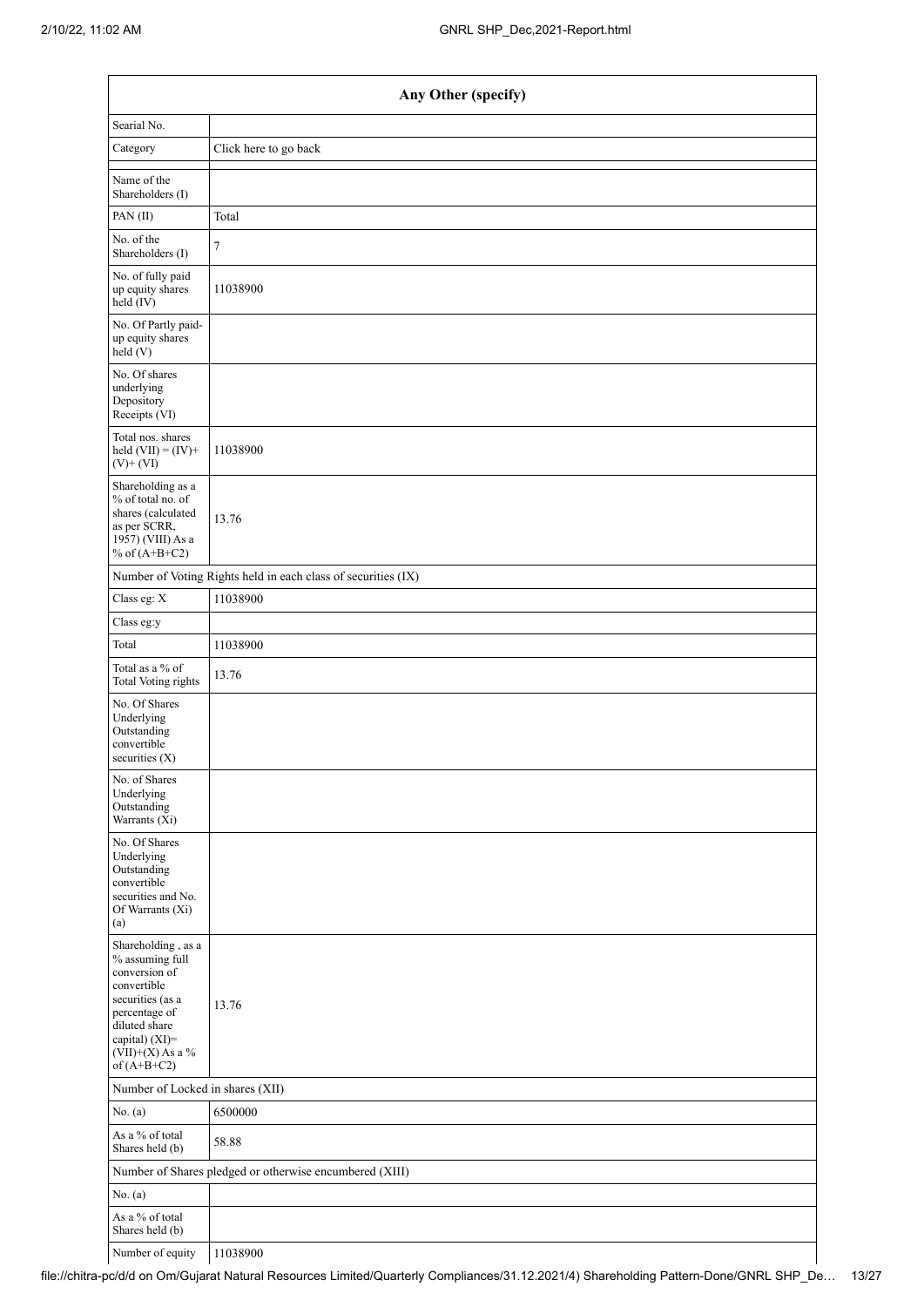|                                                                                                                                                                                      | Any Other (specify)                                           |  |  |  |  |  |  |  |
|--------------------------------------------------------------------------------------------------------------------------------------------------------------------------------------|---------------------------------------------------------------|--|--|--|--|--|--|--|
| Searial No.                                                                                                                                                                          |                                                               |  |  |  |  |  |  |  |
| Category                                                                                                                                                                             | Click here to go back                                         |  |  |  |  |  |  |  |
| Name of the<br>Shareholders (I)                                                                                                                                                      |                                                               |  |  |  |  |  |  |  |
| PAN(II)                                                                                                                                                                              | Total                                                         |  |  |  |  |  |  |  |
| No. of the<br>Shareholders (I)                                                                                                                                                       | $\tau$                                                        |  |  |  |  |  |  |  |
| No. of fully paid<br>up equity shares<br>held $(IV)$                                                                                                                                 | 11038900                                                      |  |  |  |  |  |  |  |
| No. Of Partly paid-<br>up equity shares<br>held (V)                                                                                                                                  |                                                               |  |  |  |  |  |  |  |
| No. Of shares<br>underlying<br>Depository<br>Receipts (VI)                                                                                                                           |                                                               |  |  |  |  |  |  |  |
| Total nos. shares<br>held $(VII) = (IV) +$<br>$(V)$ + $(VI)$                                                                                                                         | 11038900                                                      |  |  |  |  |  |  |  |
| Shareholding as a<br>% of total no. of<br>shares (calculated<br>as per SCRR,<br>1957) (VIII) As a<br>% of $(A+B+C2)$                                                                 | 13.76                                                         |  |  |  |  |  |  |  |
|                                                                                                                                                                                      | Number of Voting Rights held in each class of securities (IX) |  |  |  |  |  |  |  |
| Class eg: X                                                                                                                                                                          | 11038900                                                      |  |  |  |  |  |  |  |
| Class eg:y                                                                                                                                                                           |                                                               |  |  |  |  |  |  |  |
| Total                                                                                                                                                                                | 11038900                                                      |  |  |  |  |  |  |  |
| Total as a % of<br><b>Total Voting rights</b>                                                                                                                                        | 13.76                                                         |  |  |  |  |  |  |  |
| No. Of Shares<br>Underlying<br>Outstanding<br>convertible<br>securities $(X)$                                                                                                        |                                                               |  |  |  |  |  |  |  |
| No. of Shares<br>Underlying<br>Outstanding<br>Warrants (Xi)                                                                                                                          |                                                               |  |  |  |  |  |  |  |
| No. Of Shares<br>Underlying<br>Outstanding<br>convertible<br>securities and No.<br>Of Warrants (Xi)<br>(a)                                                                           |                                                               |  |  |  |  |  |  |  |
| Shareholding, as a<br>% assuming full<br>conversion of<br>convertible<br>securities (as a<br>percentage of<br>diluted share<br>capital) (XI)=<br>$(VII)+(X)$ As a %<br>of $(A+B+C2)$ | 13.76                                                         |  |  |  |  |  |  |  |
| Number of Locked in shares (XII)                                                                                                                                                     |                                                               |  |  |  |  |  |  |  |
| No. $(a)$                                                                                                                                                                            | 6500000                                                       |  |  |  |  |  |  |  |
| As a % of total<br>Shares held (b)                                                                                                                                                   | 58.88                                                         |  |  |  |  |  |  |  |
|                                                                                                                                                                                      | Number of Shares pledged or otherwise encumbered (XIII)       |  |  |  |  |  |  |  |
| No. (a)                                                                                                                                                                              |                                                               |  |  |  |  |  |  |  |
| As a % of total<br>Shares held (b)                                                                                                                                                   |                                                               |  |  |  |  |  |  |  |

Number of equity 11038900

 $\mathbf{I}$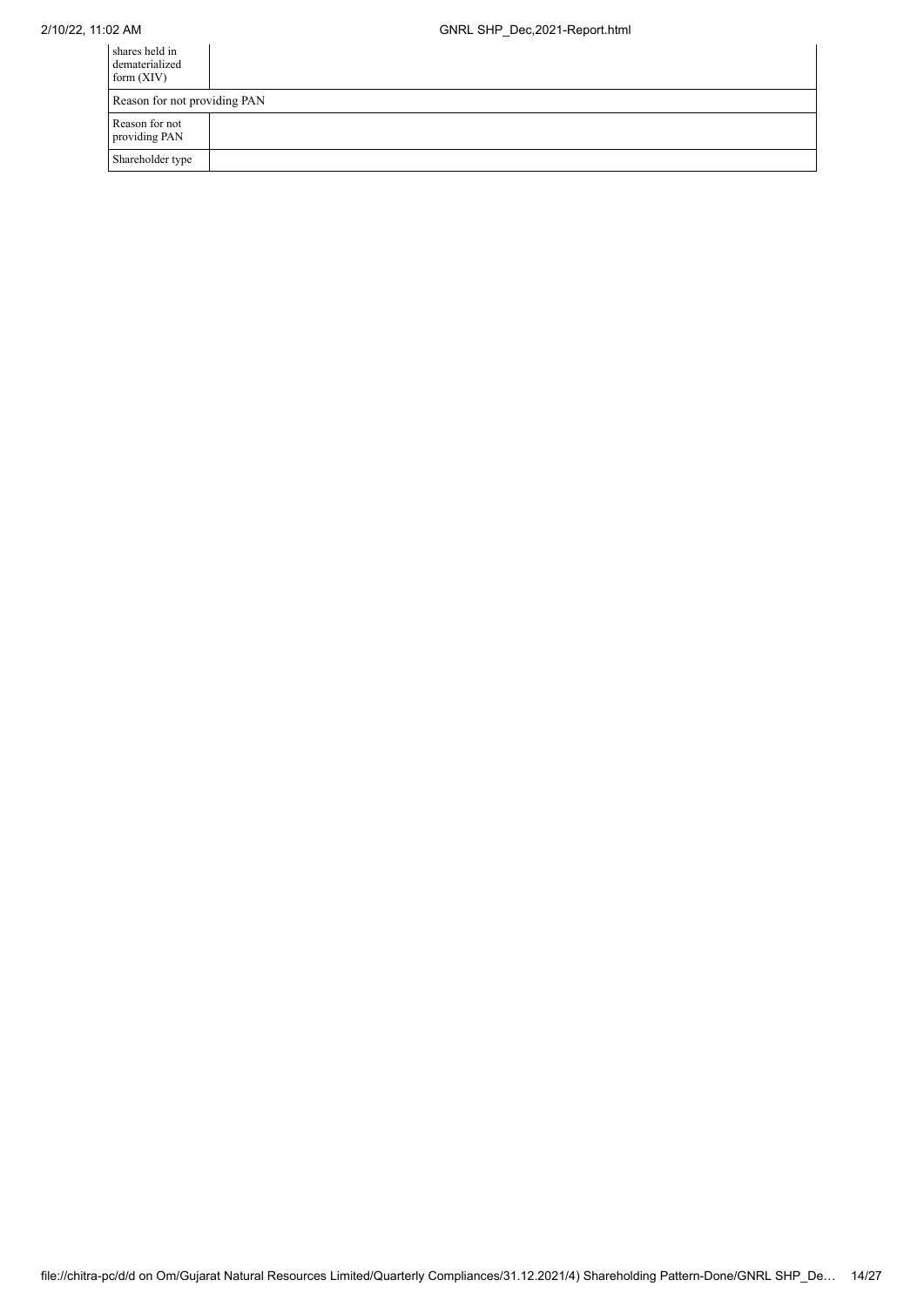| shares held in<br>dematerialized<br>form $(XIV)$ |  |  |  |
|--------------------------------------------------|--|--|--|
| Reason for not providing PAN                     |  |  |  |
| Reason for not<br>providing PAN                  |  |  |  |
| Shareholder type                                 |  |  |  |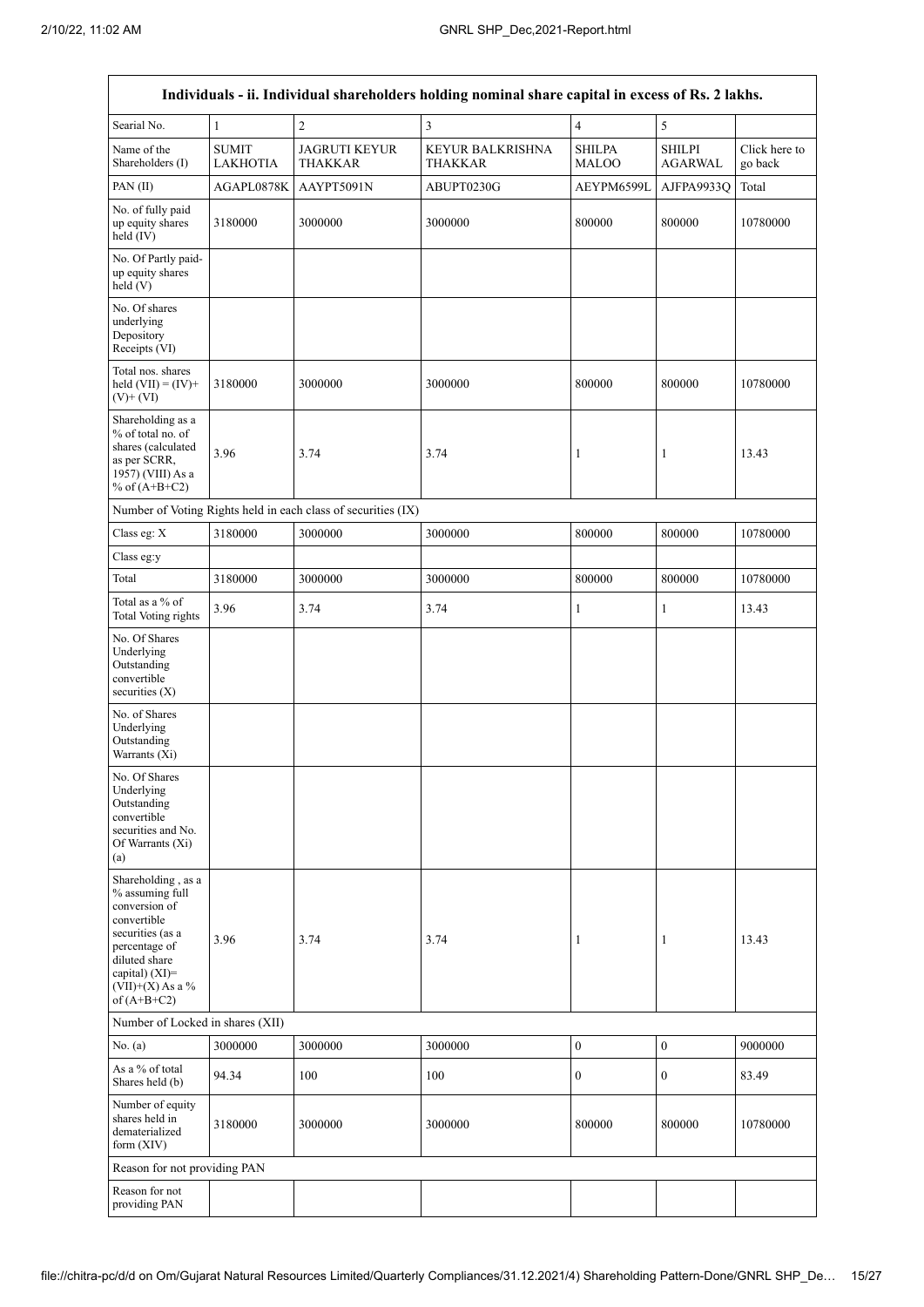$\overline{\Gamma}$ 

|                                                                                                                                                                                         |                                 |                                                               | Individuals - ii. Individual shareholders holding nominal share capital in excess of Rs. 2 lakhs. |                               |                                 |                          |
|-----------------------------------------------------------------------------------------------------------------------------------------------------------------------------------------|---------------------------------|---------------------------------------------------------------|---------------------------------------------------------------------------------------------------|-------------------------------|---------------------------------|--------------------------|
| Searial No.                                                                                                                                                                             | $\mathbf{1}$                    | $\overline{c}$                                                | 3                                                                                                 | 4                             | 5                               |                          |
| Name of the<br>Shareholders (I)                                                                                                                                                         | <b>SUMIT</b><br><b>LAKHOTIA</b> | <b>JAGRUTI KEYUR</b><br>THAKKAR                               | <b>KEYUR BALKRISHNA</b><br><b>THAKKAR</b>                                                         | <b>SHILPA</b><br><b>MALOO</b> | <b>SHILPI</b><br><b>AGARWAL</b> | Click here to<br>go back |
| PAN(II)                                                                                                                                                                                 | AGAPL0878K                      | AAYPT5091N                                                    | ABUPT0230G                                                                                        | AEYPM6599L                    | AJFPA9933Q                      | Total                    |
| No. of fully paid<br>up equity shares<br>held $(IV)$                                                                                                                                    | 3180000                         | 3000000                                                       | 3000000                                                                                           | 800000                        | 800000                          | 10780000                 |
| No. Of Partly paid-<br>up equity shares<br>held (V)                                                                                                                                     |                                 |                                                               |                                                                                                   |                               |                                 |                          |
| No. Of shares<br>underlying<br>Depository<br>Receipts (VI)                                                                                                                              |                                 |                                                               |                                                                                                   |                               |                                 |                          |
| Total nos. shares<br>held $(VII) = (IV) +$<br>$(V)+(VI)$                                                                                                                                | 3180000                         | 3000000                                                       | 3000000                                                                                           | 800000                        | 800000                          | 10780000                 |
| Shareholding as a<br>% of total no. of<br>shares (calculated<br>as per SCRR,<br>1957) (VIII) As a<br>% of $(A+B+C2)$                                                                    | 3.96                            | 3.74                                                          | 3.74                                                                                              | 1                             | 1                               | 13.43                    |
|                                                                                                                                                                                         |                                 | Number of Voting Rights held in each class of securities (IX) |                                                                                                   |                               |                                 |                          |
| Class eg: $X$                                                                                                                                                                           | 3180000                         | 3000000                                                       | 3000000                                                                                           | 800000                        | 800000                          | 10780000                 |
| Class eg:y                                                                                                                                                                              |                                 |                                                               |                                                                                                   |                               |                                 |                          |
| Total                                                                                                                                                                                   | 3180000                         | 3000000                                                       | 3000000                                                                                           | 800000                        | 800000                          | 10780000                 |
| Total as a % of<br>Total Voting rights                                                                                                                                                  | 3.96                            | 3.74                                                          | 3.74                                                                                              | $\mathbf{1}$                  | $\mathbf{1}$                    | 13.43                    |
| No. Of Shares<br>Underlying<br>Outstanding<br>convertible<br>securities $(X)$                                                                                                           |                                 |                                                               |                                                                                                   |                               |                                 |                          |
| No. of Shares<br>Underlying<br>Outstanding<br>Warrants (Xi)                                                                                                                             |                                 |                                                               |                                                                                                   |                               |                                 |                          |
| No. Of Shares<br>Underlying<br>Outstanding<br>convertible<br>securities and No.<br>Of Warrants (Xi)<br>(a)                                                                              |                                 |                                                               |                                                                                                   |                               |                                 |                          |
| Shareholding, as a<br>% assuming full<br>conversion of<br>convertible<br>securities (as a<br>percentage of<br>diluted share<br>capital) $(XI)$ =<br>$(VII)+(X)$ As a %<br>of $(A+B+C2)$ | 3.96                            | 3.74                                                          | 3.74                                                                                              | 1                             | 1                               | 13.43                    |
| Number of Locked in shares (XII)                                                                                                                                                        |                                 |                                                               |                                                                                                   |                               |                                 |                          |
| No. (a)                                                                                                                                                                                 | 3000000                         | 3000000                                                       | 3000000                                                                                           | $\boldsymbol{0}$              | $\boldsymbol{0}$                | 9000000                  |
| As a % of total<br>Shares held (b)                                                                                                                                                      | 94.34                           | 100                                                           | 100                                                                                               | $\boldsymbol{0}$              | $\boldsymbol{0}$                | 83.49                    |
| Number of equity<br>shares held in<br>dematerialized<br>form (XIV)                                                                                                                      | 3180000                         | 3000000                                                       | 3000000                                                                                           | 800000                        | 800000                          | 10780000                 |
| Reason for not providing PAN                                                                                                                                                            |                                 |                                                               |                                                                                                   |                               |                                 |                          |
| Reason for not<br>providing PAN                                                                                                                                                         |                                 |                                                               |                                                                                                   |                               |                                 |                          |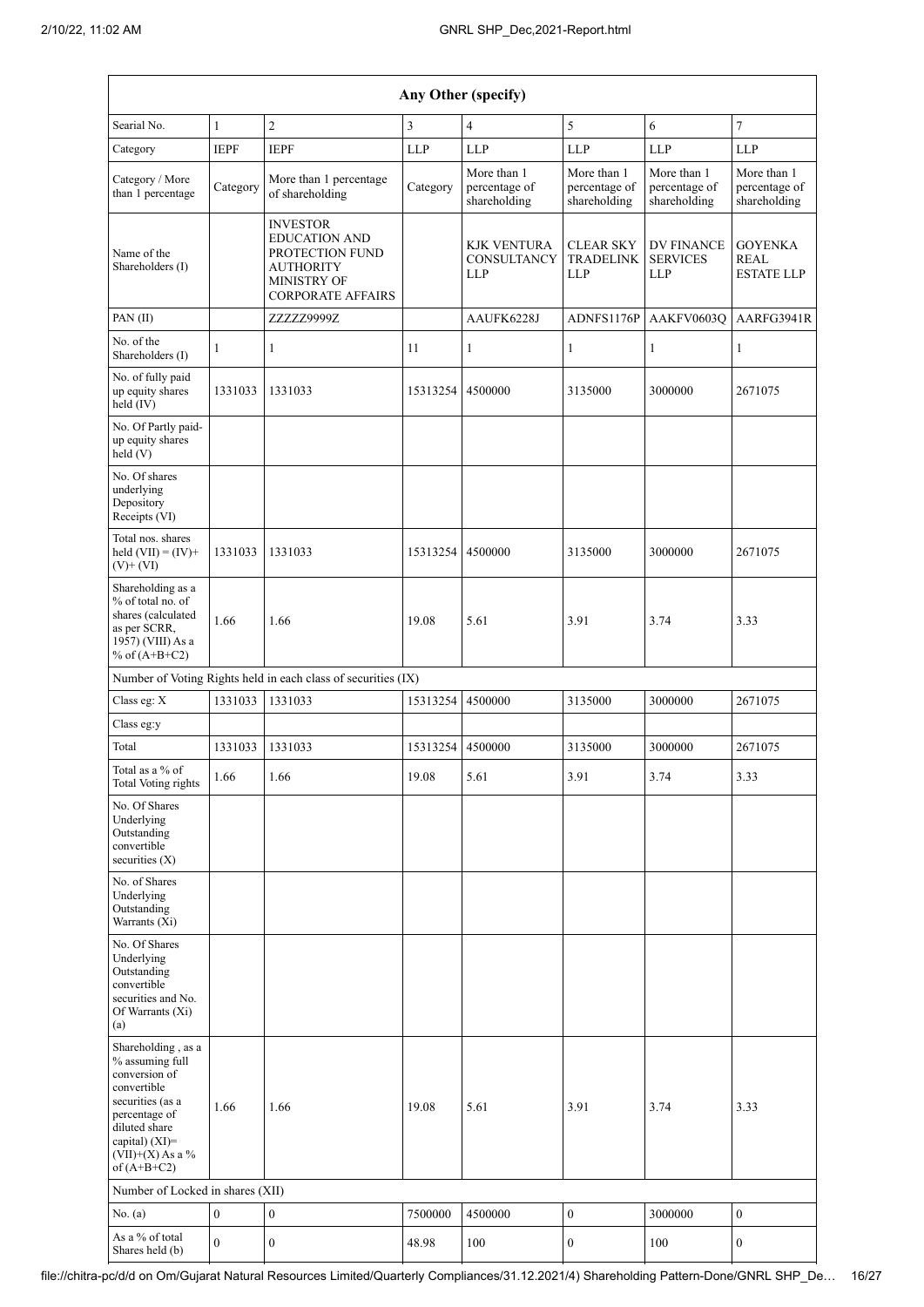| Any Other (specify)                                                                                                                                                                  |                  |                                                                                                                           |                |                                                 |                                              |                                                    |                                                    |  |
|--------------------------------------------------------------------------------------------------------------------------------------------------------------------------------------|------------------|---------------------------------------------------------------------------------------------------------------------------|----------------|-------------------------------------------------|----------------------------------------------|----------------------------------------------------|----------------------------------------------------|--|
| Searial No.                                                                                                                                                                          | $\mathbf{1}$     | $\overline{2}$                                                                                                            | $\overline{3}$ | 4                                               | 5                                            | 6                                                  | $\overline{7}$                                     |  |
| Category                                                                                                                                                                             | <b>IEPF</b>      | <b>IEPF</b>                                                                                                               | $LLP$          | <b>LLP</b>                                      | <b>LLP</b>                                   | <b>LLP</b>                                         | <b>LLP</b>                                         |  |
| Category / More<br>than 1 percentage                                                                                                                                                 | Category         | More than 1 percentage<br>of shareholding                                                                                 | Category       | More than 1<br>percentage of<br>shareholding    | More than 1<br>percentage of<br>shareholding | More than 1<br>percentage of<br>shareholding       | More than 1<br>percentage of<br>shareholding       |  |
| Name of the<br>Shareholders (I)                                                                                                                                                      |                  | <b>INVESTOR</b><br><b>EDUCATION AND</b><br>PROTECTION FUND<br><b>AUTHORITY</b><br>MINISTRY OF<br><b>CORPORATE AFFAIRS</b> |                | <b>KJK VENTURA</b><br>CONSULTANCY<br><b>LLP</b> | <b>CLEAR SKY</b><br><b>TRADELINK</b><br>LLP  | <b>DV FINANCE</b><br><b>SERVICES</b><br><b>LLP</b> | <b>GOYENKA</b><br><b>REAL</b><br><b>ESTATE LLP</b> |  |
| PAN(II)                                                                                                                                                                              |                  | ZZZZZ9999Z                                                                                                                |                | AAUFK6228J                                      | ADNFS1176P                                   | AAKFV0603Q                                         | AARFG3941R                                         |  |
| No. of the<br>Shareholders (I)                                                                                                                                                       | 1                | 1                                                                                                                         | 11             | 1                                               | $\mathbf{1}$                                 | $\mathbf{1}$                                       | $\mathbf{1}$                                       |  |
| No. of fully paid<br>up equity shares<br>held (IV)                                                                                                                                   | 1331033          | 1331033                                                                                                                   | 15313254       | 4500000                                         | 3135000                                      | 3000000                                            | 2671075                                            |  |
| No. Of Partly paid-<br>up equity shares<br>$\text{held} (V)$                                                                                                                         |                  |                                                                                                                           |                |                                                 |                                              |                                                    |                                                    |  |
| No. Of shares<br>underlying<br>Depository<br>Receipts (VI)                                                                                                                           |                  |                                                                                                                           |                |                                                 |                                              |                                                    |                                                    |  |
| Total nos. shares<br>held $(VII) = (IV) +$<br>$(V)$ + $(VI)$                                                                                                                         | 1331033          | 1331033                                                                                                                   | 15313254       | 4500000                                         | 3135000                                      | 3000000                                            | 2671075                                            |  |
| Shareholding as a<br>% of total no. of<br>shares (calculated<br>as per SCRR,<br>1957) (VIII) As a<br>% of $(A+B+C2)$                                                                 | 1.66             | 1.66                                                                                                                      | 19.08          | 5.61                                            | 3.91                                         | 3.74                                               | 3.33                                               |  |
|                                                                                                                                                                                      |                  | Number of Voting Rights held in each class of securities (IX)                                                             |                |                                                 |                                              |                                                    |                                                    |  |
| Class eg: X                                                                                                                                                                          | 1331033          | 1331033                                                                                                                   | 15313254       | 4500000                                         | 3135000                                      | 3000000                                            | 2671075                                            |  |
| Class eg:y                                                                                                                                                                           |                  |                                                                                                                           |                |                                                 |                                              |                                                    |                                                    |  |
| Total                                                                                                                                                                                | 1331033          | 1331033                                                                                                                   | 15313254       | 4500000                                         | 3135000                                      | 3000000                                            | 2671075                                            |  |
| Total as a % of<br><b>Total Voting rights</b>                                                                                                                                        | 1.66             | 1.66                                                                                                                      | 19.08          | 5.61                                            | 3.91                                         | 3.74                                               | 3.33                                               |  |
| No. Of Shares<br>Underlying<br>Outstanding<br>convertible<br>securities $(X)$                                                                                                        |                  |                                                                                                                           |                |                                                 |                                              |                                                    |                                                    |  |
| No. of Shares<br>Underlying<br>Outstanding<br>Warrants (Xi)                                                                                                                          |                  |                                                                                                                           |                |                                                 |                                              |                                                    |                                                    |  |
| No. Of Shares<br>Underlying<br>Outstanding<br>convertible<br>securities and No.<br>Of Warrants (Xi)<br>(a)                                                                           |                  |                                                                                                                           |                |                                                 |                                              |                                                    |                                                    |  |
| Shareholding, as a<br>% assuming full<br>conversion of<br>convertible<br>securities (as a<br>percentage of<br>diluted share<br>capital) (XI)=<br>$(VII)+(X)$ As a %<br>of $(A+B+C2)$ | 1.66             | 1.66                                                                                                                      | 19.08          | 5.61                                            | 3.91                                         | 3.74                                               | 3.33                                               |  |
| Number of Locked in shares (XII)                                                                                                                                                     |                  |                                                                                                                           |                |                                                 |                                              |                                                    |                                                    |  |
| No. (a)                                                                                                                                                                              | $\boldsymbol{0}$ | $\boldsymbol{0}$                                                                                                          | 7500000        | 4500000                                         | $\boldsymbol{0}$                             | 3000000                                            | $\boldsymbol{0}$                                   |  |
| As a % of total<br>Shares held (b)                                                                                                                                                   | $\boldsymbol{0}$ | $\boldsymbol{0}$                                                                                                          | 48.98          | 100                                             | 0                                            | 100                                                | $\boldsymbol{0}$                                   |  |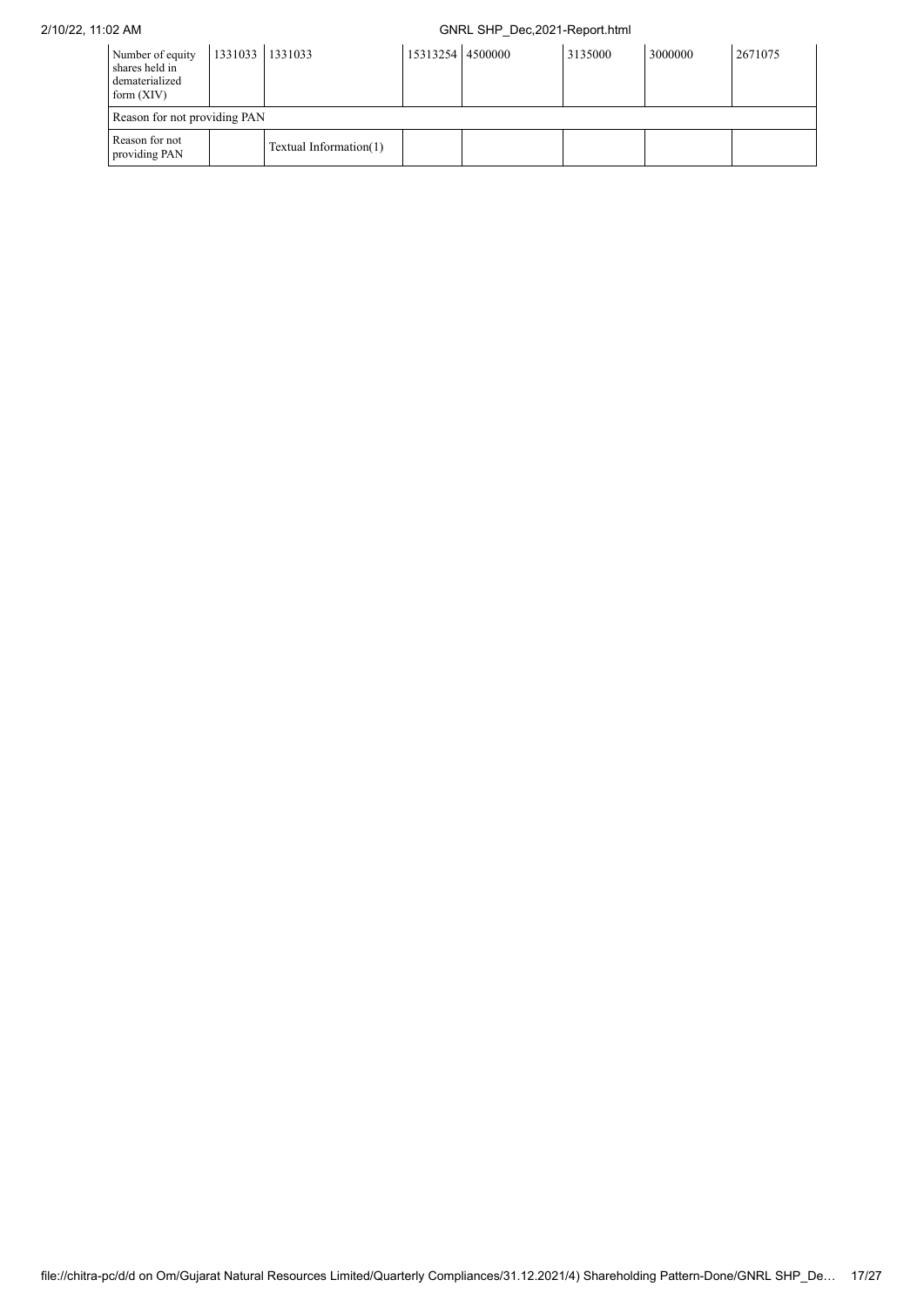| Number of equity<br>shares held in<br>dematerialized<br>form $(XIV)$ | 1331033 1331033 |                        | 15313254 4500000 | 3135000 | 3000000 | 2671075 |
|----------------------------------------------------------------------|-----------------|------------------------|------------------|---------|---------|---------|
| Reason for not providing PAN                                         |                 |                        |                  |         |         |         |
| Reason for not<br>providing PAN                                      |                 | Textual Information(1) |                  |         |         |         |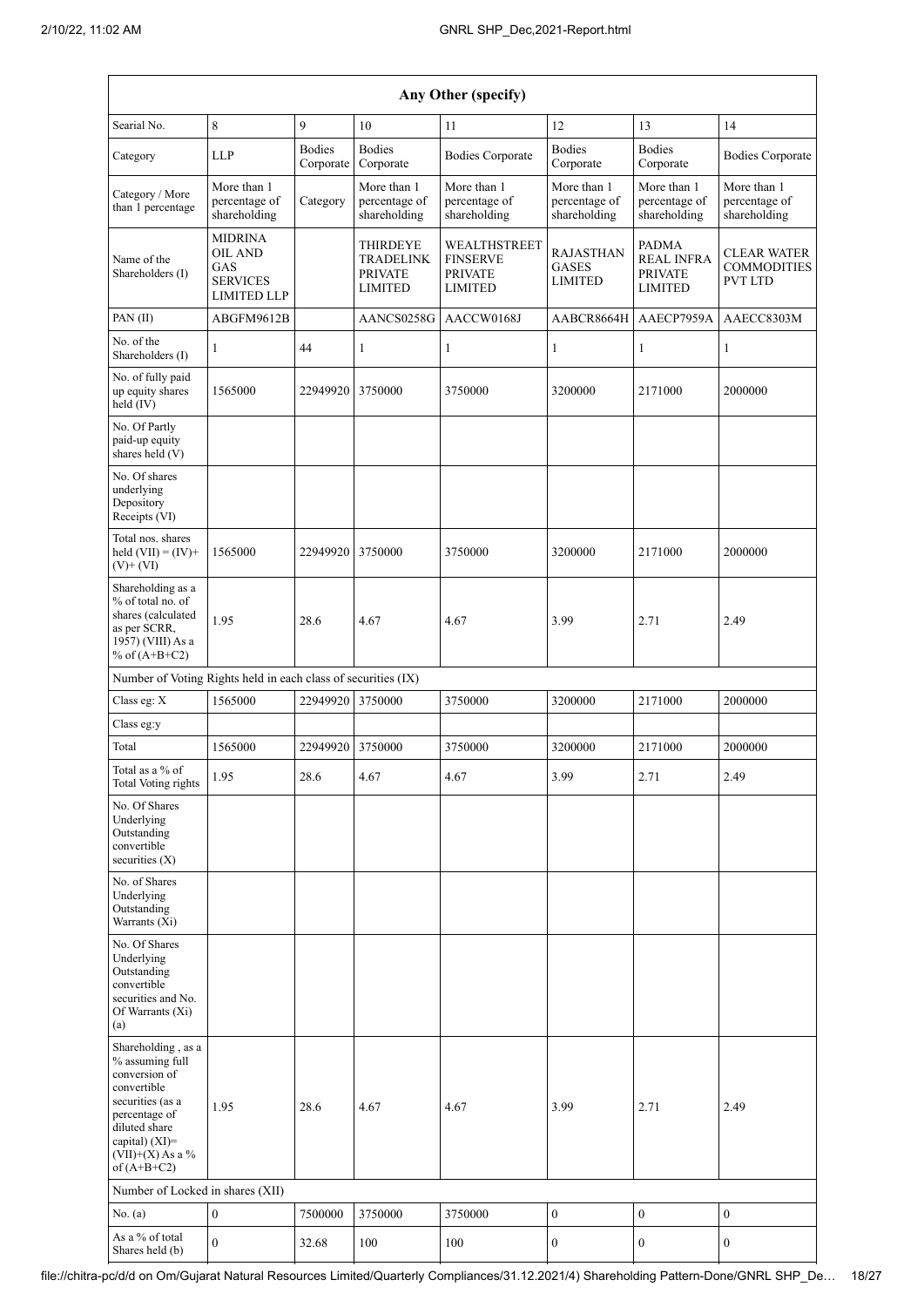|                                                                                                                                                                                      | Any Other (specify)                                                       |                            |                                                           |                                                                     |                                                    |                                                                |                                                     |  |  |
|--------------------------------------------------------------------------------------------------------------------------------------------------------------------------------------|---------------------------------------------------------------------------|----------------------------|-----------------------------------------------------------|---------------------------------------------------------------------|----------------------------------------------------|----------------------------------------------------------------|-----------------------------------------------------|--|--|
| Searial No.                                                                                                                                                                          | 8                                                                         | 9                          | 10                                                        | 11                                                                  | 12                                                 | 13                                                             | 14                                                  |  |  |
| Category                                                                                                                                                                             | <b>LLP</b>                                                                | <b>Bodies</b><br>Corporate | <b>Bodies</b><br>Corporate                                | <b>Bodies Corporate</b>                                             | <b>Bodies</b><br>Corporate                         | <b>Bodies</b><br>Corporate                                     | <b>Bodies Corporate</b>                             |  |  |
| Category / More<br>than 1 percentage                                                                                                                                                 | More than 1<br>percentage of<br>shareholding                              | Category                   | More than 1<br>percentage of<br>shareholding              | More than 1<br>percentage of<br>shareholding                        | More than 1<br>percentage of<br>shareholding       | More than 1<br>percentage of<br>shareholding                   | More than 1<br>percentage of<br>shareholding        |  |  |
| Name of the<br>Shareholders (I)                                                                                                                                                      | <b>MIDRINA</b><br>OIL AND<br>GAS<br><b>SERVICES</b><br><b>LIMITED LLP</b> |                            | THIRDEYE<br>TRADELINK<br><b>PRIVATE</b><br><b>LIMITED</b> | WEALTHSTREET<br><b>FINSERVE</b><br><b>PRIVATE</b><br><b>LIMITED</b> | <b>RAJASTHAN</b><br><b>GASES</b><br><b>LIMITED</b> | <b>PADMA</b><br>REAL INFRA<br><b>PRIVATE</b><br><b>LIMITED</b> | CLEAR WATER<br><b>COMMODITIES</b><br><b>PVT LTD</b> |  |  |
| PAN(II)                                                                                                                                                                              | ABGFM9612B                                                                |                            | AANCS0258G                                                | AACCW0168J                                                          | AABCR8664H                                         | AAECP7959A                                                     | AAECC8303M                                          |  |  |
| No. of the<br>Shareholders (I)                                                                                                                                                       | 1                                                                         | 44                         | 1                                                         | 1                                                                   | 1                                                  | 1                                                              | 1                                                   |  |  |
| No. of fully paid<br>up equity shares<br>held (IV)                                                                                                                                   | 1565000                                                                   | 22949920 3750000           |                                                           | 3750000                                                             | 3200000                                            | 2171000                                                        | 2000000                                             |  |  |
| No. Of Partly<br>paid-up equity<br>shares held (V)                                                                                                                                   |                                                                           |                            |                                                           |                                                                     |                                                    |                                                                |                                                     |  |  |
| No. Of shares<br>underlying<br>Depository<br>Receipts (VI)                                                                                                                           |                                                                           |                            |                                                           |                                                                     |                                                    |                                                                |                                                     |  |  |
| Total nos. shares<br>held $(VII) = (IV) +$<br>$(V)$ + $(VI)$                                                                                                                         | 1565000                                                                   | 22949920                   | 3750000                                                   | 3750000                                                             | 3200000                                            | 2171000                                                        | 2000000                                             |  |  |
| Shareholding as a<br>% of total no. of<br>shares (calculated<br>as per SCRR,<br>1957) (VIII) As a<br>% of $(A+B+C2)$                                                                 | 1.95                                                                      | 28.6                       | 4.67                                                      | 4.67                                                                | 3.99                                               | 2.71                                                           | 2.49                                                |  |  |
| Number of Voting Rights held in each class of securities (IX)                                                                                                                        |                                                                           |                            |                                                           |                                                                     |                                                    |                                                                |                                                     |  |  |
| Class eg: X                                                                                                                                                                          | 1565000                                                                   | 22949920                   | 3750000                                                   | 3750000                                                             | 3200000                                            | 2171000                                                        | 2000000                                             |  |  |
| Class eg:y                                                                                                                                                                           |                                                                           |                            |                                                           |                                                                     |                                                    |                                                                |                                                     |  |  |
| Total                                                                                                                                                                                | 1565000                                                                   | 22949920                   | 3750000                                                   | 3750000                                                             | 3200000                                            | 2171000                                                        | 2000000                                             |  |  |
| Total as a $\%$ of<br><b>Total Voting rights</b>                                                                                                                                     | 1.95                                                                      | 28.6                       | 4.67                                                      | 4.67                                                                | 3.99                                               | 2.71                                                           | 2.49                                                |  |  |
| No. Of Shares<br>Underlying<br>Outstanding<br>convertible<br>securities $(X)$                                                                                                        |                                                                           |                            |                                                           |                                                                     |                                                    |                                                                |                                                     |  |  |
| No. of Shares<br>Underlying<br>Outstanding<br>Warrants (Xi)                                                                                                                          |                                                                           |                            |                                                           |                                                                     |                                                    |                                                                |                                                     |  |  |
| No. Of Shares<br>Underlying<br>Outstanding<br>convertible<br>securities and No.<br>Of Warrants (Xi)<br>(a)                                                                           |                                                                           |                            |                                                           |                                                                     |                                                    |                                                                |                                                     |  |  |
| Shareholding, as a<br>% assuming full<br>conversion of<br>convertible<br>securities (as a<br>percentage of<br>diluted share<br>capital) (XI)=<br>$(VII)+(X)$ As a %<br>of $(A+B+C2)$ | 1.95                                                                      | 28.6                       | 4.67                                                      | 4.67                                                                | 3.99                                               | 2.71                                                           | 2.49                                                |  |  |
| Number of Locked in shares (XII)                                                                                                                                                     |                                                                           |                            |                                                           |                                                                     |                                                    |                                                                |                                                     |  |  |
| No. $(a)$                                                                                                                                                                            | $\boldsymbol{0}$                                                          | 7500000                    | 3750000                                                   | 3750000                                                             | $\boldsymbol{0}$                                   | $\boldsymbol{0}$                                               | $\boldsymbol{0}$                                    |  |  |
| As a % of total<br>Shares held (b)                                                                                                                                                   | $\boldsymbol{0}$                                                          | 32.68                      | 100                                                       | 100                                                                 | $\boldsymbol{0}$                                   | $\boldsymbol{0}$                                               | $\boldsymbol{0}$                                    |  |  |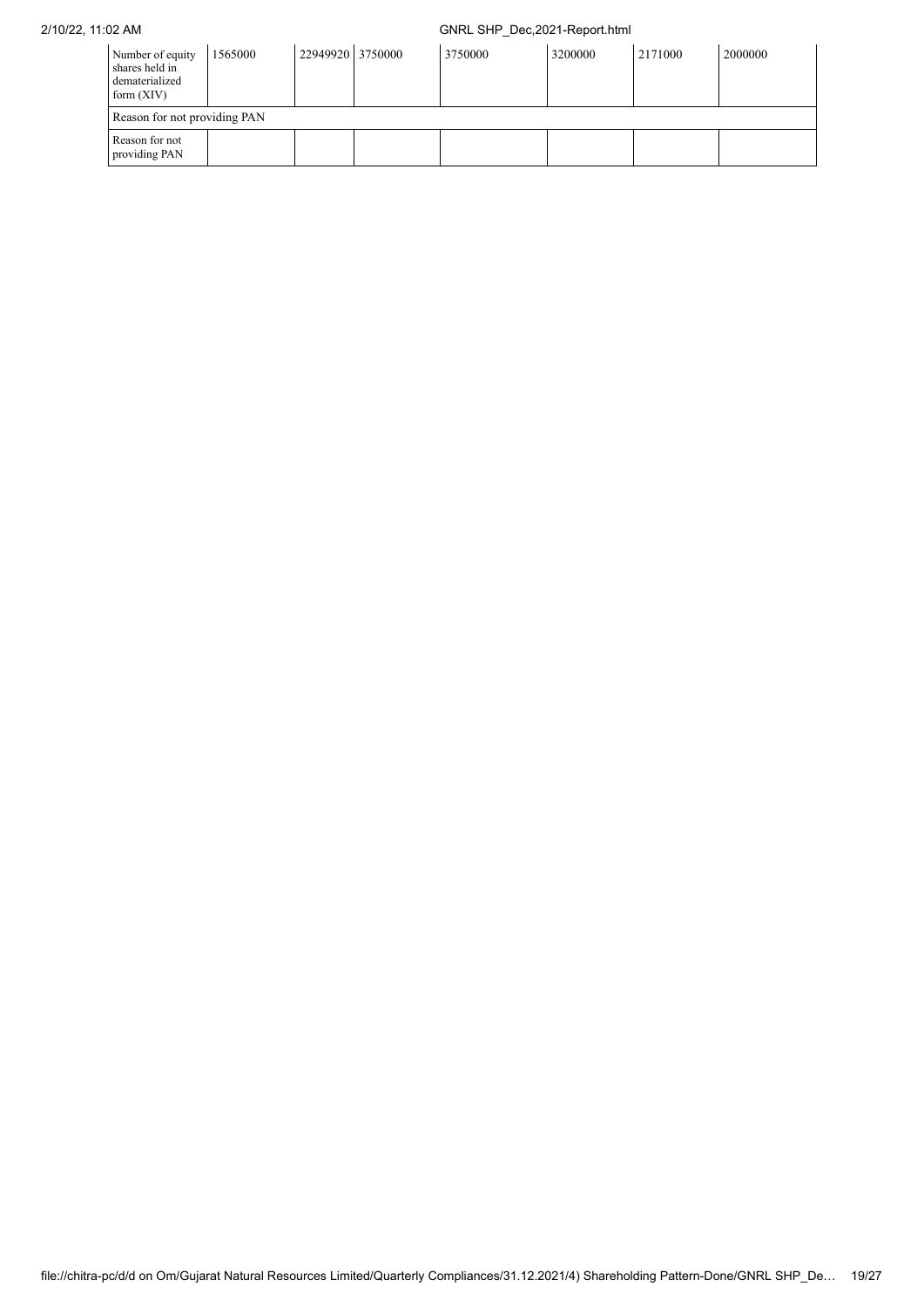| Number of equity<br>shares held in<br>dematerialized<br>form $(XIV)$ | 1565000 | 22949920 3750000 | 3750000 | 3200000 | 2171000 | 2000000 |
|----------------------------------------------------------------------|---------|------------------|---------|---------|---------|---------|
| Reason for not providing PAN                                         |         |                  |         |         |         |         |
| Reason for not<br>providing PAN                                      |         |                  |         |         |         |         |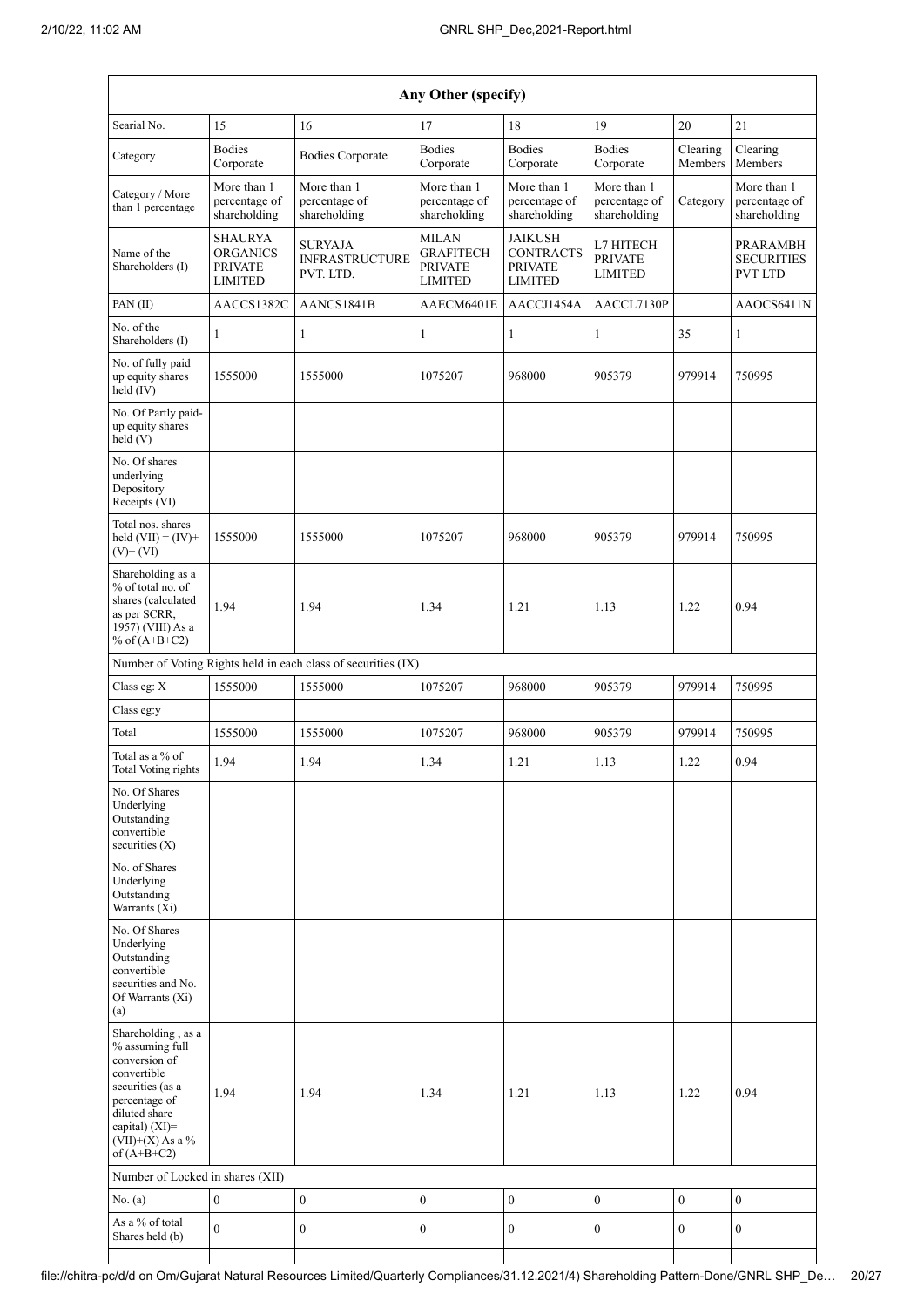| Any Other (specify)                                                                                                                                                                  |                                                                       |                                                               |                                                                      |                                                                        |                                               |                     |                                                        |  |
|--------------------------------------------------------------------------------------------------------------------------------------------------------------------------------------|-----------------------------------------------------------------------|---------------------------------------------------------------|----------------------------------------------------------------------|------------------------------------------------------------------------|-----------------------------------------------|---------------------|--------------------------------------------------------|--|
| Searial No.                                                                                                                                                                          | 15                                                                    | 16                                                            | 17                                                                   | 18                                                                     | 19                                            | 20                  | 21                                                     |  |
| Category                                                                                                                                                                             | <b>Bodies</b><br>Corporate                                            | <b>Bodies Corporate</b>                                       | <b>Bodies</b><br>Corporate                                           | <b>Bodies</b><br>Corporate                                             | <b>Bodies</b><br>Corporate                    | Clearing<br>Members | Clearing<br>Members                                    |  |
| Category / More<br>than 1 percentage                                                                                                                                                 | More than 1<br>percentage of<br>shareholding                          | More than 1<br>percentage of<br>shareholding                  | More than 1<br>percentage of<br>shareholding                         | More than 1<br>percentage of<br>shareholding                           | More than 1<br>percentage of<br>shareholding  | Category            | More than 1<br>percentage of<br>shareholding           |  |
| Name of the<br>Shareholders (I)                                                                                                                                                      | <b>SHAURYA</b><br><b>ORGANICS</b><br><b>PRIVATE</b><br><b>LIMITED</b> | SURYAJA<br><b>INFRASTRUCTURE</b><br>PVT. LTD.                 | <b>MILAN</b><br><b>GRAFITECH</b><br><b>PRIVATE</b><br><b>LIMITED</b> | <b>JAIKUSH</b><br><b>CONTRACTS</b><br><b>PRIVATE</b><br><b>LIMITED</b> | L7 HITECH<br><b>PRIVATE</b><br><b>LIMITED</b> |                     | <b>PRARAMBH</b><br><b>SECURITIES</b><br><b>PVT LTD</b> |  |
| PAN(II)                                                                                                                                                                              | AACCS1382C                                                            | AANCS1841B                                                    | AAECM6401E                                                           | AACCJ1454A                                                             | AACCL7130P                                    |                     | AAOCS6411N                                             |  |
| No. of the<br>Shareholders (I)                                                                                                                                                       | 1                                                                     | 1                                                             | $\mathbf{1}$                                                         | 1                                                                      | 1                                             | 35                  | $\mathbf{1}$                                           |  |
| No. of fully paid<br>up equity shares<br>held (IV)                                                                                                                                   | 1555000                                                               | 1555000                                                       | 1075207                                                              | 968000                                                                 | 905379                                        | 979914              | 750995                                                 |  |
| No. Of Partly paid-<br>up equity shares<br>held (V)                                                                                                                                  |                                                                       |                                                               |                                                                      |                                                                        |                                               |                     |                                                        |  |
| No. Of shares<br>underlying<br>Depository<br>Receipts (VI)                                                                                                                           |                                                                       |                                                               |                                                                      |                                                                        |                                               |                     |                                                        |  |
| Total nos. shares<br>held $(VII) = (IV) +$<br>$(V)$ + $(VI)$                                                                                                                         | 1555000                                                               | 1555000                                                       | 1075207                                                              | 968000                                                                 | 905379                                        | 979914              | 750995                                                 |  |
| Shareholding as a<br>% of total no. of<br>shares (calculated<br>as per SCRR,<br>1957) (VIII) As a<br>% of $(A+B+C2)$                                                                 | 1.94                                                                  | 1.94                                                          | 1.34                                                                 | 1.21                                                                   | 1.13                                          | 1.22                | 0.94                                                   |  |
|                                                                                                                                                                                      |                                                                       | Number of Voting Rights held in each class of securities (IX) |                                                                      |                                                                        |                                               |                     |                                                        |  |
| Class eg: X                                                                                                                                                                          | 1555000                                                               | 1555000                                                       | 1075207                                                              | 968000                                                                 | 905379                                        | 979914              | 750995                                                 |  |
| Class eg:y                                                                                                                                                                           |                                                                       |                                                               |                                                                      |                                                                        |                                               |                     |                                                        |  |
| Total                                                                                                                                                                                | 1555000                                                               | 1555000                                                       | 1075207                                                              | 968000                                                                 | 905379                                        | 979914              | 750995                                                 |  |
| Total as a % of<br>Total Voting rights                                                                                                                                               | 1.94                                                                  | 1.94                                                          | 1.34                                                                 | 1.21                                                                   | 1.13                                          | 1.22                | 0.94                                                   |  |
| No. Of Shares<br>Underlying<br>Outstanding<br>convertible<br>securities $(X)$                                                                                                        |                                                                       |                                                               |                                                                      |                                                                        |                                               |                     |                                                        |  |
| No. of Shares<br>Underlying<br>Outstanding<br>Warrants (Xi)                                                                                                                          |                                                                       |                                                               |                                                                      |                                                                        |                                               |                     |                                                        |  |
| No. Of Shares<br>Underlying<br>Outstanding<br>convertible<br>securities and No.<br>Of Warrants (Xi)<br>(a)                                                                           |                                                                       |                                                               |                                                                      |                                                                        |                                               |                     |                                                        |  |
| Shareholding, as a<br>% assuming full<br>conversion of<br>convertible<br>securities (as a<br>percentage of<br>diluted share<br>capital) (XI)=<br>$(VII)+(X)$ As a %<br>of $(A+B+C2)$ | 1.94                                                                  | 1.94                                                          | 1.34                                                                 | 1.21                                                                   | 1.13                                          | 1.22                | 0.94                                                   |  |
| Number of Locked in shares (XII)                                                                                                                                                     |                                                                       |                                                               |                                                                      |                                                                        |                                               |                     |                                                        |  |
| No. (a)                                                                                                                                                                              | $\boldsymbol{0}$                                                      | $\boldsymbol{0}$                                              | $\boldsymbol{0}$                                                     | $\boldsymbol{0}$                                                       | $\boldsymbol{0}$                              | $\boldsymbol{0}$    | $\boldsymbol{0}$                                       |  |
| As a % of total<br>Shares held (b)                                                                                                                                                   | $\mathbf{0}$                                                          | $\boldsymbol{0}$                                              | $\boldsymbol{0}$                                                     | $\boldsymbol{0}$                                                       | $\boldsymbol{0}$                              | $\mathbf{0}$        | $\mathbf{0}$                                           |  |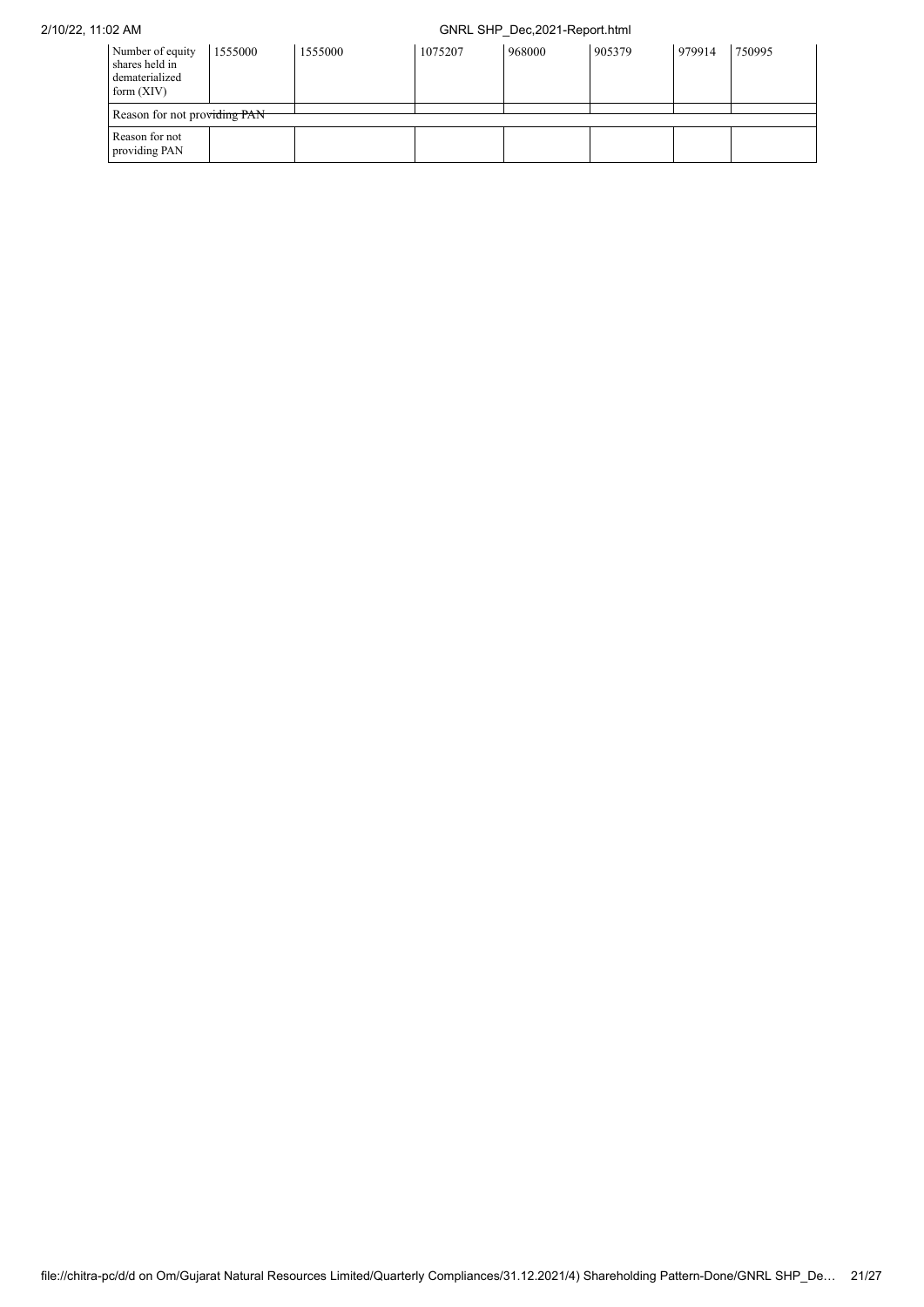| Number of equity<br>shares held in<br>dematerialized<br>form $(XIV)$ | 1555000 | 1555000 | 1075207 | 968000 | 905379 | 979914 | 750995 |
|----------------------------------------------------------------------|---------|---------|---------|--------|--------|--------|--------|
| Reason for not providing PAN                                         |         |         |         |        |        |        |        |
| Reason for not<br>providing PAN                                      |         |         |         |        |        |        |        |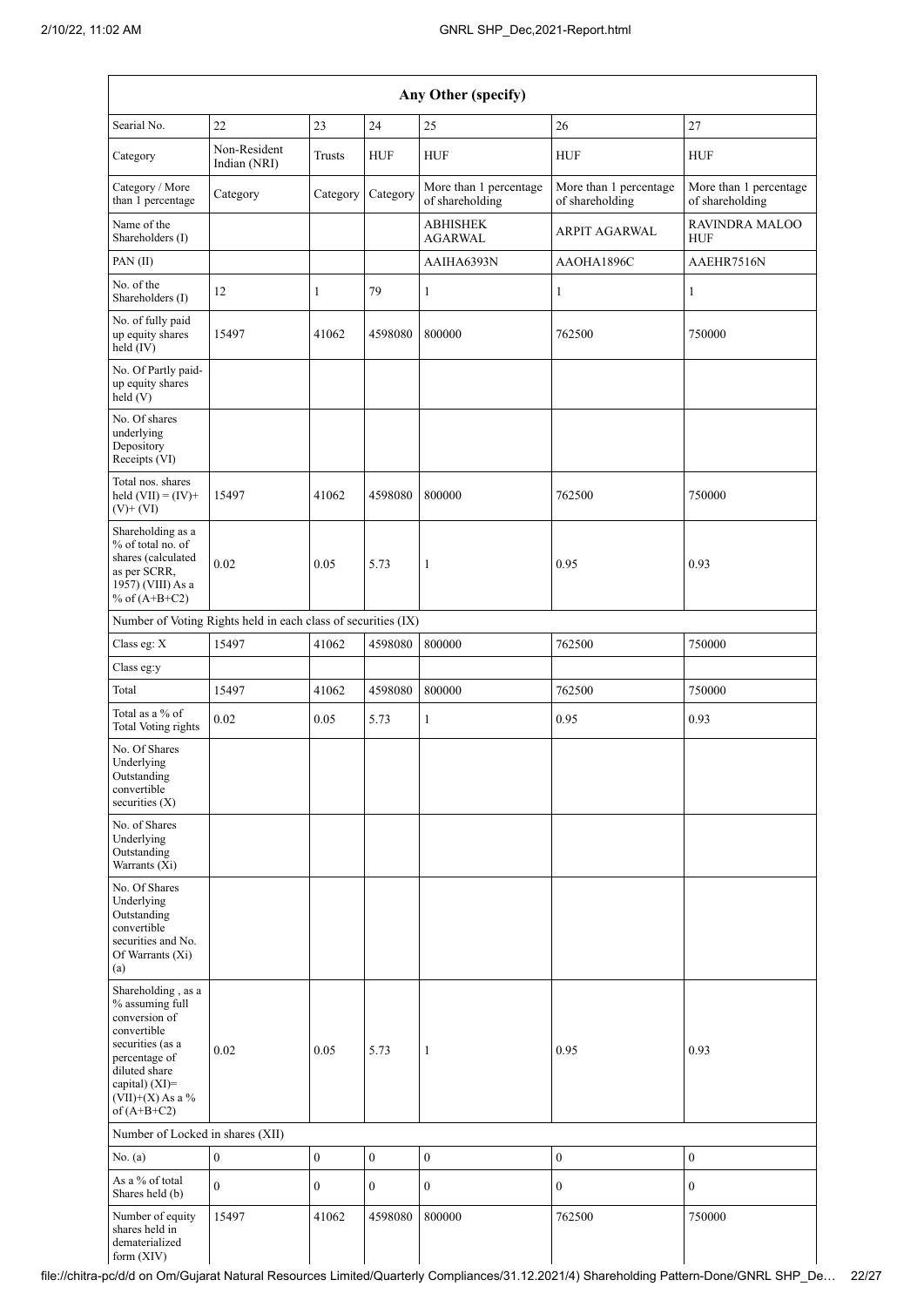|                                                                                                                                                                                      |                                                               |                  |                  | Any Other (specify)                       |                                           |                                           |
|--------------------------------------------------------------------------------------------------------------------------------------------------------------------------------------|---------------------------------------------------------------|------------------|------------------|-------------------------------------------|-------------------------------------------|-------------------------------------------|
| Searial No.                                                                                                                                                                          | 22                                                            | 23               | 24               | 25                                        | 26                                        | 27                                        |
| Category                                                                                                                                                                             | Non-Resident<br>Indian (NRI)                                  | Trusts           | <b>HUF</b>       | <b>HUF</b>                                | <b>HUF</b>                                | <b>HUF</b>                                |
| Category / More<br>than 1 percentage                                                                                                                                                 | Category                                                      | Category         | Category         | More than 1 percentage<br>of shareholding | More than 1 percentage<br>of shareholding | More than 1 percentage<br>of shareholding |
| Name of the<br>Shareholders (I)                                                                                                                                                      |                                                               |                  |                  | <b>ABHISHEK</b><br><b>AGARWAL</b>         | ARPIT AGARWAL                             | <b>RAVINDRA MALOO</b><br><b>HUF</b>       |
| PAN(II)                                                                                                                                                                              |                                                               |                  |                  | AAIHA6393N                                | AAOHA1896C                                | AAEHR7516N                                |
| No. of the<br>Shareholders (I)                                                                                                                                                       | 12                                                            | 1                | 79               | 1                                         | $\mathbf{1}$                              | $\mathbf{1}$                              |
| No. of fully paid<br>up equity shares<br>$\text{held}(\text{IV})$                                                                                                                    | 15497                                                         | 41062            | 4598080          | 800000                                    | 762500                                    | 750000                                    |
| No. Of Partly paid-<br>up equity shares<br>held(V)                                                                                                                                   |                                                               |                  |                  |                                           |                                           |                                           |
| No. Of shares<br>underlying<br>Depository<br>Receipts (VI)                                                                                                                           |                                                               |                  |                  |                                           |                                           |                                           |
| Total nos, shares<br>held $(VII) = (IV) +$<br>$(V)$ + $(VI)$                                                                                                                         | 15497                                                         | 41062            | 4598080          | 800000                                    | 762500                                    | 750000                                    |
| Shareholding as a<br>% of total no. of<br>shares (calculated<br>as per SCRR,<br>1957) (VIII) As a<br>% of $(A+B+C2)$                                                                 | 0.02                                                          | 0.05             | 5.73             | 1                                         | 0.95                                      | 0.93                                      |
|                                                                                                                                                                                      | Number of Voting Rights held in each class of securities (IX) |                  |                  |                                           |                                           |                                           |
| Class eg: X                                                                                                                                                                          | 15497                                                         | 41062            | 4598080          | 800000                                    | 762500                                    | 750000                                    |
| Class eg:y                                                                                                                                                                           |                                                               |                  |                  |                                           |                                           |                                           |
| Total                                                                                                                                                                                | 15497                                                         | 41062            | 4598080          | 800000                                    | 762500                                    | 750000                                    |
| Total as a % of<br><b>Total Voting rights</b>                                                                                                                                        | 0.02                                                          | 0.05             | 5.73             | $\mathbf{1}$                              | 0.95                                      | 0.93                                      |
| No. Of Shares<br>Underlying<br>Outstanding<br>convertible<br>securities $(X)$                                                                                                        |                                                               |                  |                  |                                           |                                           |                                           |
| No. of Shares<br>Underlying<br>Outstanding<br>Warrants (Xi)                                                                                                                          |                                                               |                  |                  |                                           |                                           |                                           |
| No. Of Shares<br>Underlying<br>Outstanding<br>convertible<br>securities and No.<br>Of Warrants (Xi)<br>(a)                                                                           |                                                               |                  |                  |                                           |                                           |                                           |
| Shareholding, as a<br>% assuming full<br>conversion of<br>convertible<br>securities (as a<br>percentage of<br>diluted share<br>capital) (XI)=<br>$(VII)+(X)$ As a %<br>of $(A+B+C2)$ | 0.02                                                          | 0.05             | 5.73             | $\mathbf{1}$                              | 0.95                                      | 0.93                                      |
| Number of Locked in shares (XII)                                                                                                                                                     |                                                               |                  |                  |                                           |                                           |                                           |
| No. (a)                                                                                                                                                                              | $\boldsymbol{0}$                                              | $\boldsymbol{0}$ | $\boldsymbol{0}$ | $\boldsymbol{0}$                          | $\boldsymbol{0}$                          | $\boldsymbol{0}$                          |
| As a % of total<br>Shares held (b)                                                                                                                                                   | $\mathbf{0}$                                                  | $\boldsymbol{0}$ | $\overline{0}$   | $\mathbf{0}$                              | $\mathbf{0}$                              | $\mathbf{0}$                              |
| Number of equity<br>shares held in<br>dematerialized<br>form (XIV)                                                                                                                   | 15497                                                         | 41062            | 4598080          | 800000                                    | 762500                                    | 750000                                    |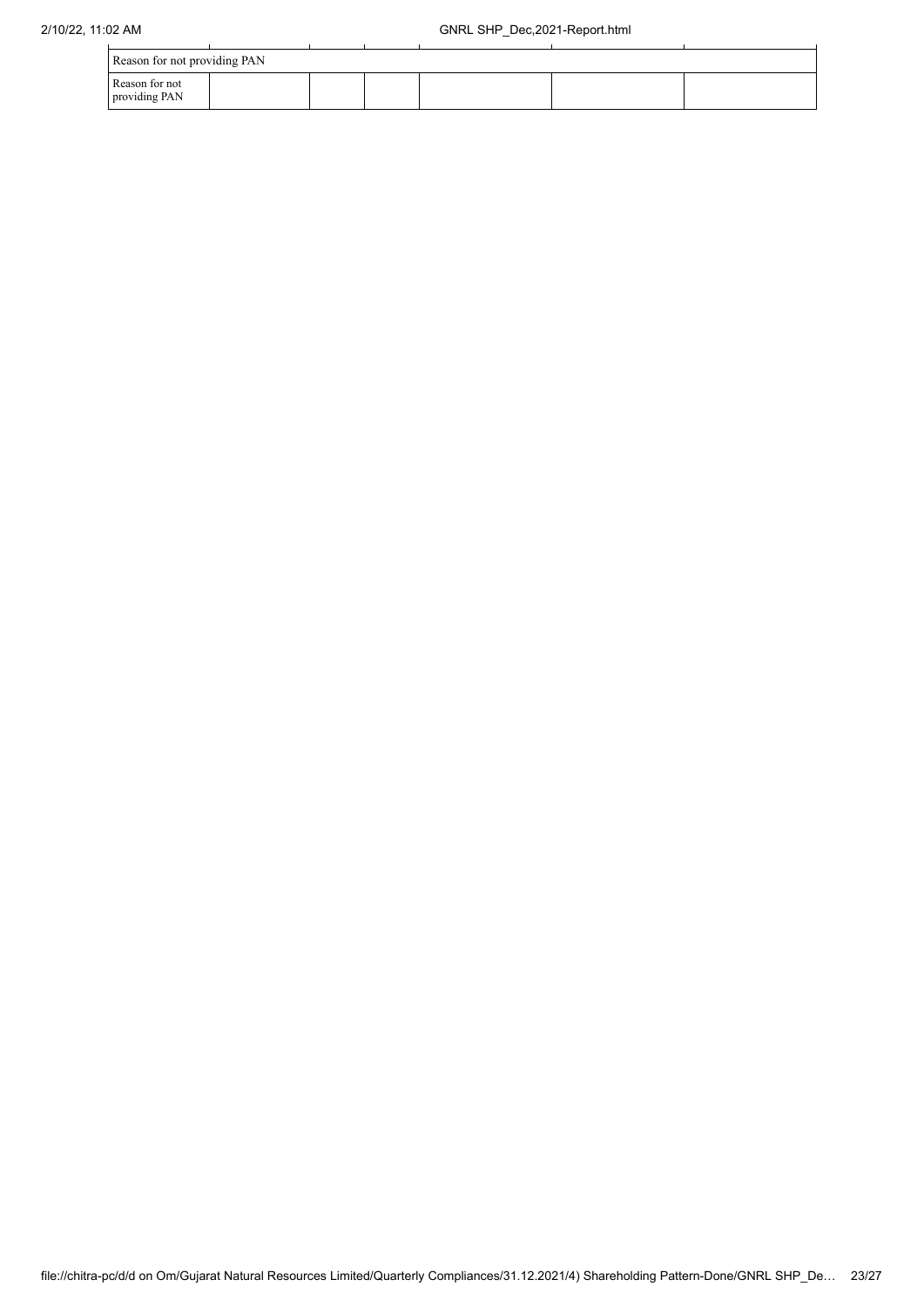| Reason for not providing PAN    |  |  |  |
|---------------------------------|--|--|--|
| Reason for not<br>providing PAN |  |  |  |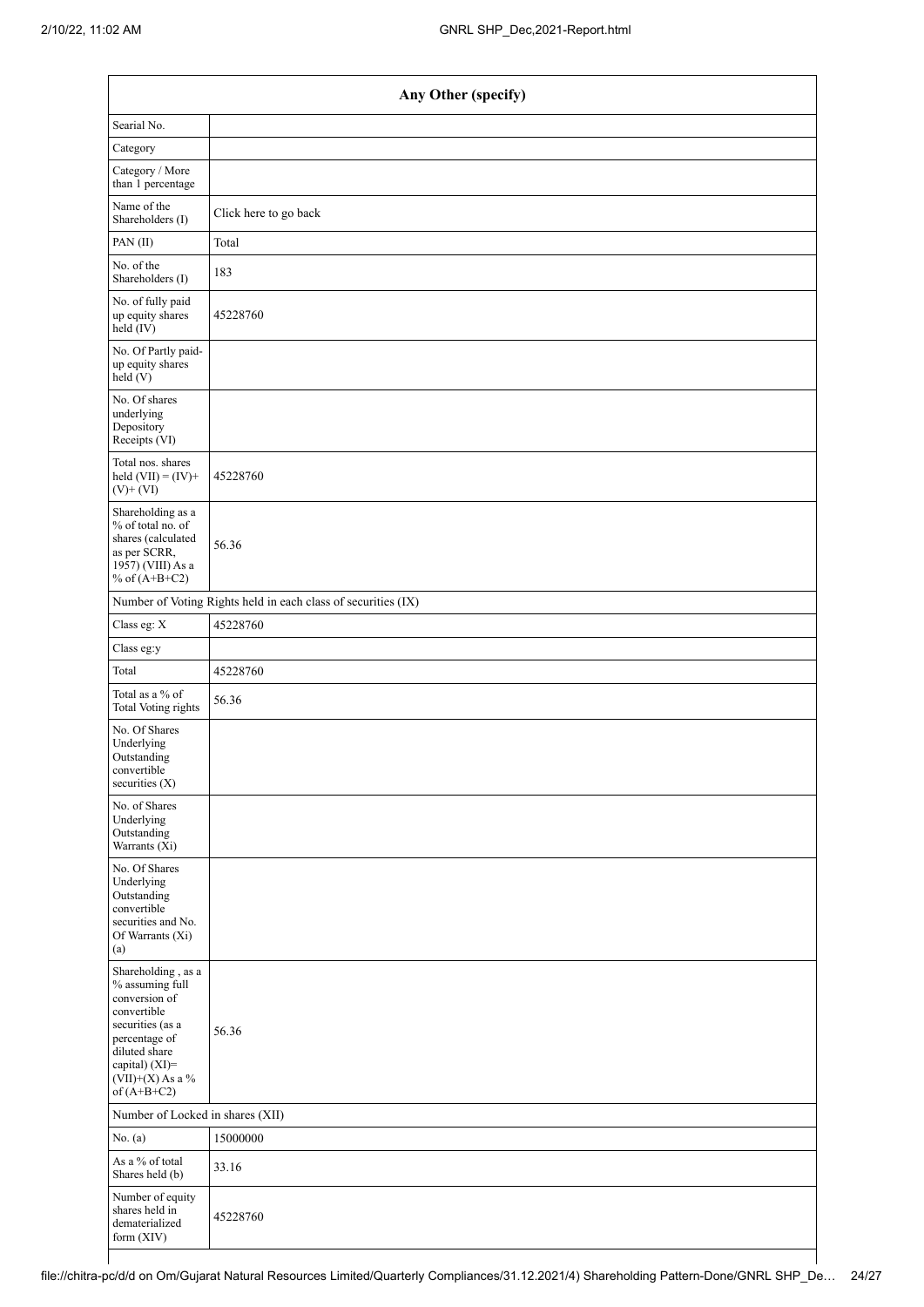| Any Other (specify)                                                                                                                                                                  |                                                               |  |  |  |  |  |  |
|--------------------------------------------------------------------------------------------------------------------------------------------------------------------------------------|---------------------------------------------------------------|--|--|--|--|--|--|
| Searial No.                                                                                                                                                                          |                                                               |  |  |  |  |  |  |
| Category                                                                                                                                                                             |                                                               |  |  |  |  |  |  |
| Category / More<br>than 1 percentage                                                                                                                                                 |                                                               |  |  |  |  |  |  |
| Name of the<br>Shareholders (I)                                                                                                                                                      | Click here to go back                                         |  |  |  |  |  |  |
| PAN(II)                                                                                                                                                                              | Total                                                         |  |  |  |  |  |  |
| No. of the<br>Shareholders (I)                                                                                                                                                       | 183                                                           |  |  |  |  |  |  |
| No. of fully paid<br>up equity shares<br>$\text{held}(\text{IV})$                                                                                                                    | 45228760                                                      |  |  |  |  |  |  |
| No. Of Partly paid-<br>up equity shares<br>held (V)                                                                                                                                  |                                                               |  |  |  |  |  |  |
| No. Of shares<br>underlying<br>Depository<br>Receipts (VI)                                                                                                                           |                                                               |  |  |  |  |  |  |
| Total nos. shares<br>held $(VII) = (IV) +$<br>$(V)$ + $(VI)$                                                                                                                         | 45228760                                                      |  |  |  |  |  |  |
| Shareholding as a<br>% of total no. of<br>shares (calculated<br>as per SCRR,<br>1957) (VIII) As a<br>% of $(A+B+C2)$                                                                 | 56.36                                                         |  |  |  |  |  |  |
|                                                                                                                                                                                      | Number of Voting Rights held in each class of securities (IX) |  |  |  |  |  |  |
| Class eg: X                                                                                                                                                                          | 45228760                                                      |  |  |  |  |  |  |
| Class eg:y                                                                                                                                                                           |                                                               |  |  |  |  |  |  |
| Total                                                                                                                                                                                | 45228760                                                      |  |  |  |  |  |  |
| Total as a % of<br><b>Total Voting rights</b>                                                                                                                                        | 56.36                                                         |  |  |  |  |  |  |
| No. Of Shares<br>Underlying<br>Outstanding<br>convertible<br>securities (X)                                                                                                          |                                                               |  |  |  |  |  |  |
| No. of Shares<br>Underlying<br>Outstanding<br>Warrants (Xi)                                                                                                                          |                                                               |  |  |  |  |  |  |
| No. Of Shares<br>Underlying<br>Outstanding<br>convertible<br>securities and No.<br>Of Warrants (Xi)<br>(a)                                                                           |                                                               |  |  |  |  |  |  |
| Shareholding, as a<br>% assuming full<br>conversion of<br>convertible<br>securities (as a<br>percentage of<br>diluted share<br>capital) (XI)=<br>$(VII)+(X)$ As a %<br>of $(A+B+C2)$ | 56.36                                                         |  |  |  |  |  |  |
| Number of Locked in shares (XII)                                                                                                                                                     |                                                               |  |  |  |  |  |  |
| No. $(a)$                                                                                                                                                                            | 15000000                                                      |  |  |  |  |  |  |
| As a % of total<br>Shares held (b)                                                                                                                                                   | 33.16                                                         |  |  |  |  |  |  |
| Number of equity<br>shares held in<br>dematerialized<br>form (XIV)                                                                                                                   | 45228760                                                      |  |  |  |  |  |  |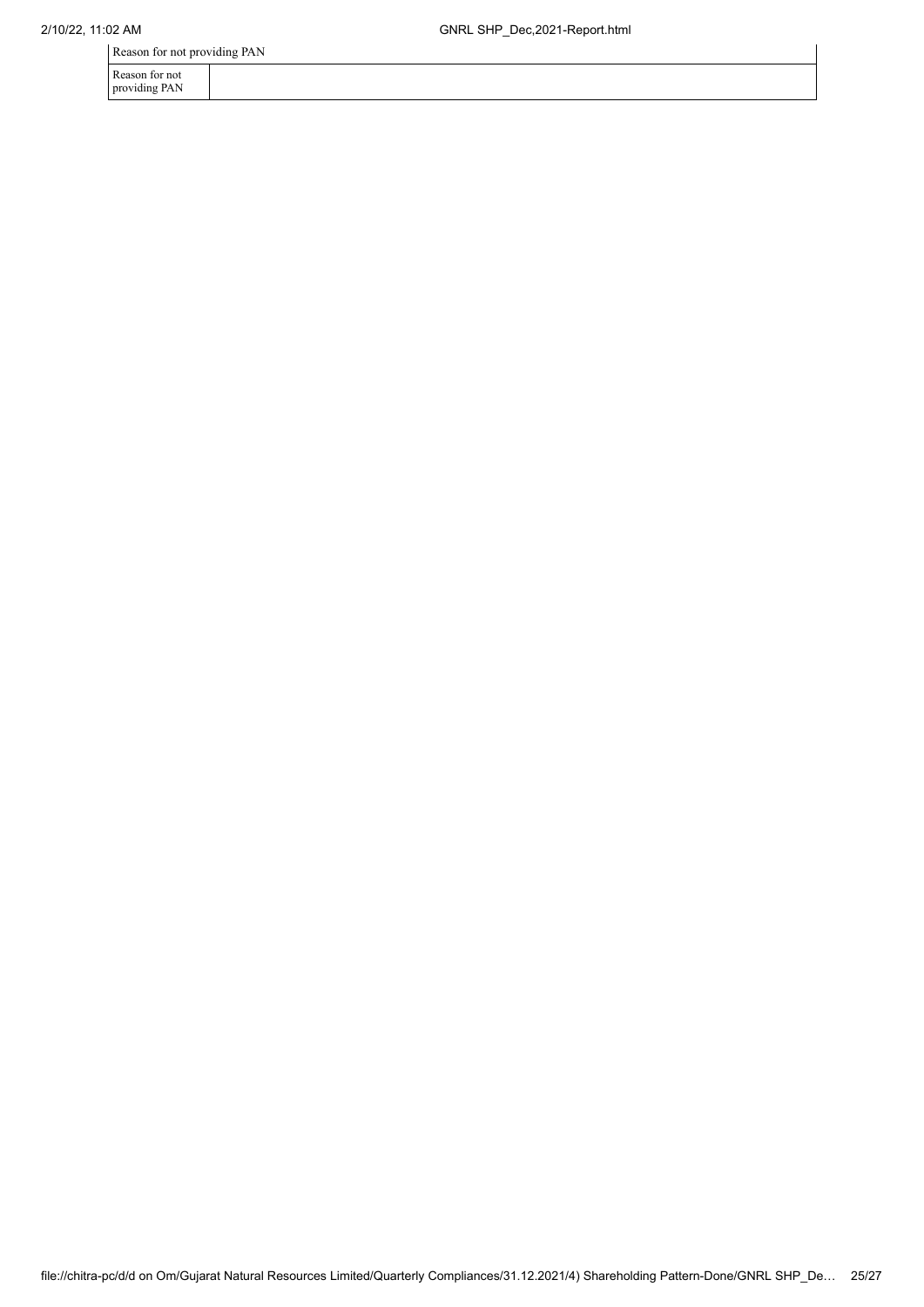Reason for not providing PAN

Reason for not providing PAN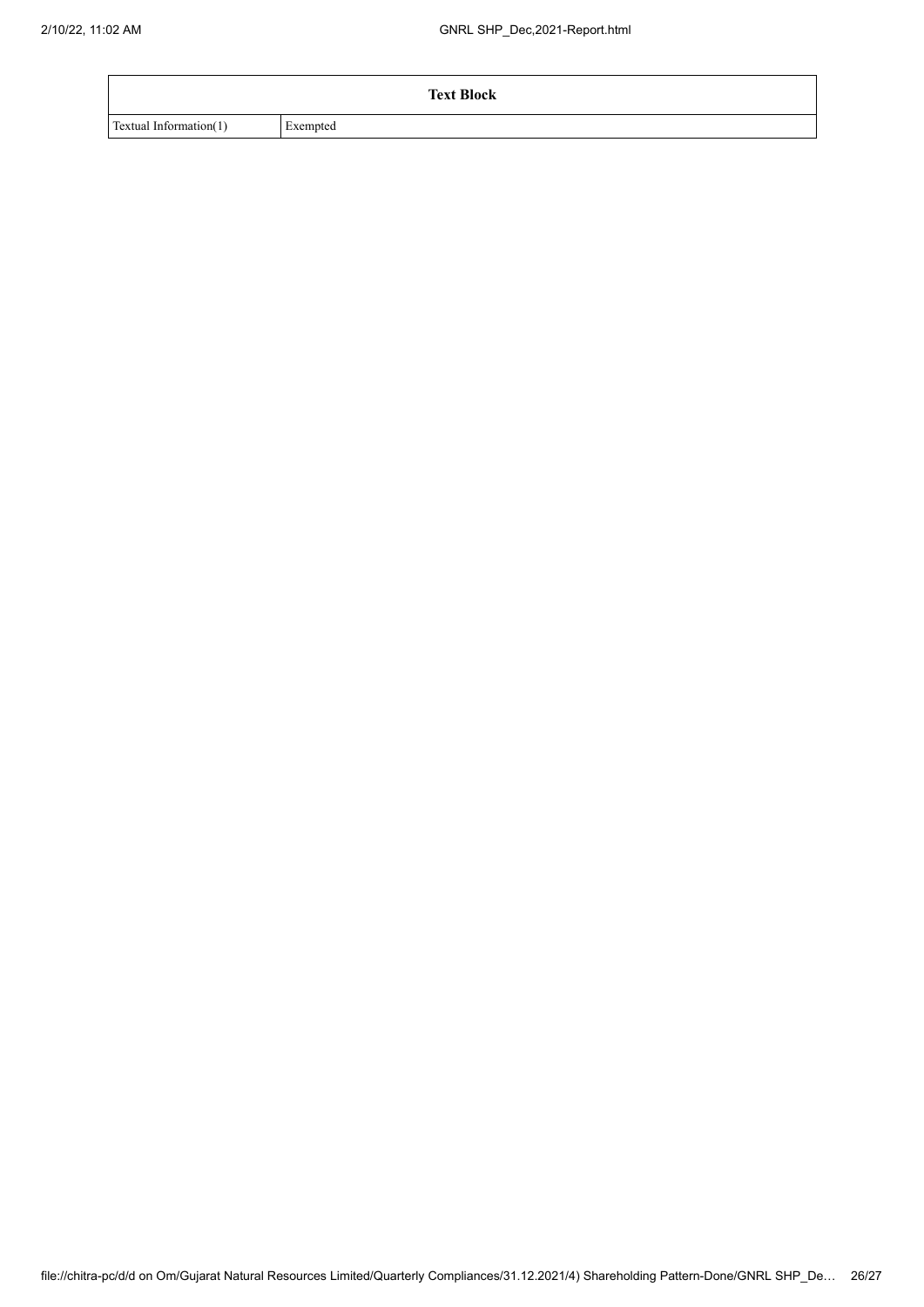| <b>Text Block</b>      |          |
|------------------------|----------|
| Textual Information(1) | Exempted |